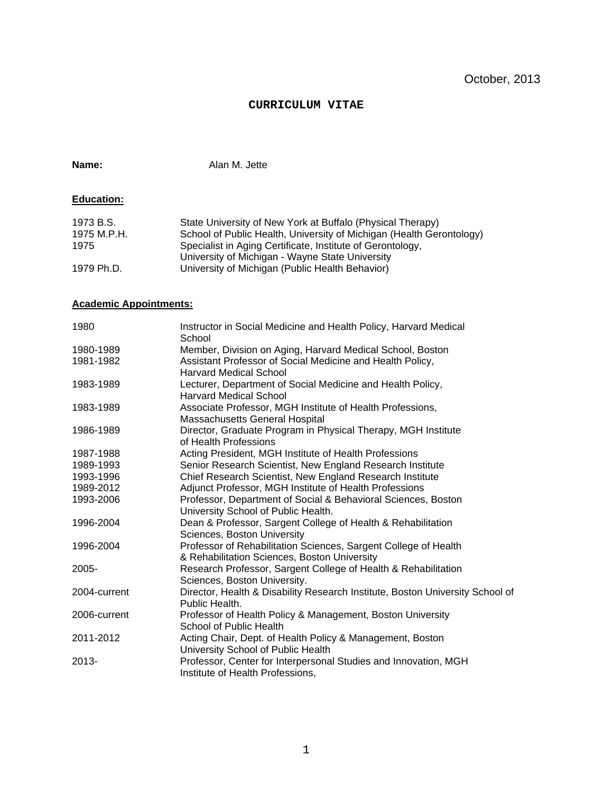### **CURRICULUM VITAE**

**Name:** Alan M. Jette

## **Education:**

| 1973 B.S.   | State University of New York at Buffalo (Physical Therapy)           |
|-------------|----------------------------------------------------------------------|
| 1975 M.P.H. | School of Public Health, University of Michigan (Health Gerontology) |
| 1975        | Specialist in Aging Certificate, Institute of Gerontology,           |
|             | University of Michigan - Wayne State University                      |
| 1979 Ph.D.  | University of Michigan (Public Health Behavior)                      |

## **Academic Appointments:**

| 1980         | Instructor in Social Medicine and Health Policy, Harvard Medical<br>School    |
|--------------|-------------------------------------------------------------------------------|
| 1980-1989    | Member, Division on Aging, Harvard Medical School, Boston                     |
| 1981-1982    | Assistant Professor of Social Medicine and Health Policy,                     |
|              | <b>Harvard Medical School</b>                                                 |
| 1983-1989    | Lecturer, Department of Social Medicine and Health Policy,                    |
|              | <b>Harvard Medical School</b>                                                 |
| 1983-1989    | Associate Professor, MGH Institute of Health Professions,                     |
|              | Massachusetts General Hospital                                                |
| 1986-1989    | Director, Graduate Program in Physical Therapy, MGH Institute                 |
|              | of Health Professions                                                         |
| 1987-1988    | Acting President, MGH Institute of Health Professions                         |
| 1989-1993    | Senior Research Scientist, New England Research Institute                     |
| 1993-1996    | Chief Research Scientist, New England Research Institute                      |
| 1989-2012    | Adjunct Professor, MGH Institute of Health Professions                        |
| 1993-2006    | Professor, Department of Social & Behavioral Sciences, Boston                 |
|              | University School of Public Health.                                           |
| 1996-2004    | Dean & Professor, Sargent College of Health & Rehabilitation                  |
|              | Sciences, Boston University                                                   |
| 1996-2004    | Professor of Rehabilitation Sciences, Sargent College of Health               |
|              | & Rehabilitation Sciences, Boston University                                  |
| $2005 -$     | Research Professor, Sargent College of Health & Rehabilitation                |
|              | Sciences, Boston University.                                                  |
| 2004-current | Director, Health & Disability Research Institute, Boston University School of |
|              | Public Health.                                                                |
| 2006-current | Professor of Health Policy & Management, Boston University                    |
|              | School of Public Health                                                       |
| 2011-2012    | Acting Chair, Dept. of Health Policy & Management, Boston                     |
|              | University School of Public Health                                            |
| 2013-        | Professor, Center for Interpersonal Studies and Innovation, MGH               |
|              | Institute of Health Professions,                                              |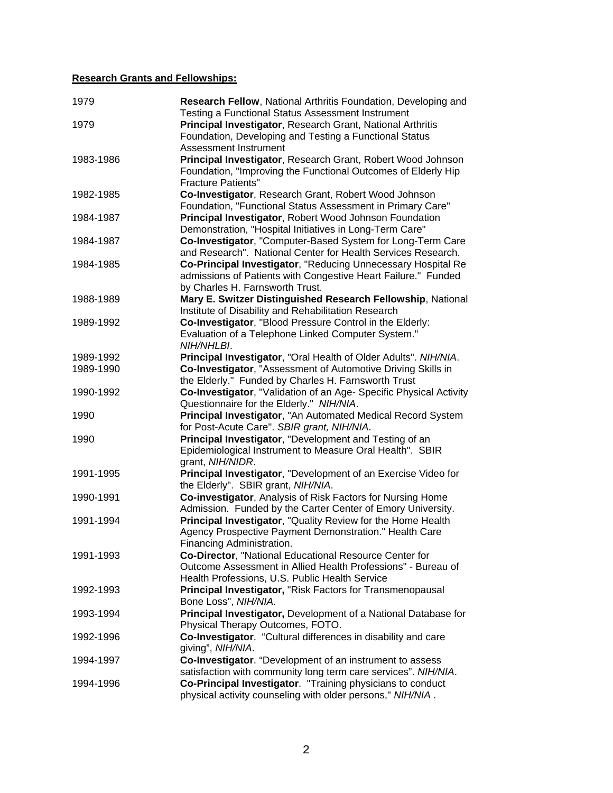## **Research Grants and Fellowships:**

| 1979      | Research Fellow, National Arthritis Foundation, Developing and<br>Testing a Functional Status Assessment Instrument                                                      |
|-----------|--------------------------------------------------------------------------------------------------------------------------------------------------------------------------|
| 1979      | Principal Investigator, Research Grant, National Arthritis<br>Foundation, Developing and Testing a Functional Status<br>Assessment Instrument                            |
| 1983-1986 | Principal Investigator, Research Grant, Robert Wood Johnson<br>Foundation, "Improving the Functional Outcomes of Elderly Hip                                             |
| 1982-1985 | <b>Fracture Patients"</b><br>Co-Investigator, Research Grant, Robert Wood Johnson<br>Foundation, "Functional Status Assessment in Primary Care"                          |
| 1984-1987 | Principal Investigator, Robert Wood Johnson Foundation<br>Demonstration, "Hospital Initiatives in Long-Term Care"                                                        |
| 1984-1987 | Co-Investigator, "Computer-Based System for Long-Term Care<br>and Research". National Center for Health Services Research.                                               |
| 1984-1985 | Co-Principal Investigator, "Reducing Unnecessary Hospital Re<br>admissions of Patients with Congestive Heart Failure." Funded<br>by Charles H. Farnsworth Trust.         |
| 1988-1989 | Mary E. Switzer Distinguished Research Fellowship, National<br>Institute of Disability and Rehabilitation Research                                                       |
| 1989-1992 | Co-Investigator, "Blood Pressure Control in the Elderly:<br>Evaluation of a Telephone Linked Computer System."<br>NIH/NHLBI.                                             |
| 1989-1992 | Principal Investigator, "Oral Health of Older Adults". NIH/NIA.                                                                                                          |
| 1989-1990 | Co-Investigator, "Assessment of Automotive Driving Skills in<br>the Elderly." Funded by Charles H. Farnsworth Trust                                                      |
| 1990-1992 | Co-Investigator, "Validation of an Age- Specific Physical Activity<br>Questionnaire for the Elderly." NIH/NIA.                                                           |
| 1990      | Principal Investigator, "An Automated Medical Record System<br>for Post-Acute Care". SBIR grant, NIH/NIA.                                                                |
| 1990      | Principal Investigator, "Development and Testing of an<br>Epidemiological Instrument to Measure Oral Health". SBIR<br>grant, NIH/NIDR.                                   |
| 1991-1995 | Principal Investigator, "Development of an Exercise Video for<br>the Elderly". SBIR grant, NIH/NIA.                                                                      |
| 1990-1991 | Co-investigator, Analysis of Risk Factors for Nursing Home<br>Admission. Funded by the Carter Center of Emory University.                                                |
| 1991-1994 | Principal Investigator, "Quality Review for the Home Health<br>Agency Prospective Payment Demonstration." Health Care<br>Financing Administration.                       |
| 1991-1993 | Co-Director, "National Educational Resource Center for<br>Outcome Assessment in Allied Health Professions" - Bureau of<br>Health Professions, U.S. Public Health Service |
| 1992-1993 | Principal Investigator, "Risk Factors for Transmenopausal<br>Bone Loss", NIH/NIA.                                                                                        |
| 1993-1994 | Principal Investigator, Development of a National Database for<br>Physical Therapy Outcomes, FOTO.                                                                       |
| 1992-1996 | Co-Investigator. "Cultural differences in disability and care<br>giving", NIH/NIA.                                                                                       |
| 1994-1997 | Co-Investigator. "Development of an instrument to assess<br>satisfaction with community long term care services". NIH/NIA.                                               |
| 1994-1996 | Co-Principal Investigator. "Training physicians to conduct<br>physical activity counseling with older persons," NIH/NIA.                                                 |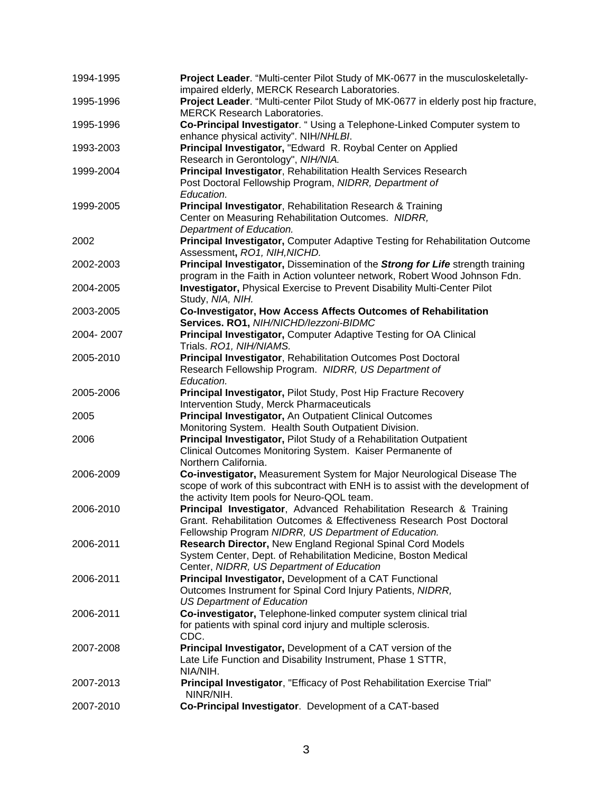| 1994-1995 | Project Leader. "Multi-center Pilot Study of MK-0677 in the musculoskeletally-<br>impaired elderly, MERCK Research Laboratories.                                                                         |
|-----------|----------------------------------------------------------------------------------------------------------------------------------------------------------------------------------------------------------|
| 1995-1996 | Project Leader. "Multi-center Pilot Study of MK-0677 in elderly post hip fracture,<br><b>MERCK Research Laboratories.</b>                                                                                |
| 1995-1996 | Co-Principal Investigator. " Using a Telephone-Linked Computer system to<br>enhance physical activity". NIH/NHLBI.                                                                                       |
| 1993-2003 | Principal Investigator, "Edward R. Roybal Center on Applied<br>Research in Gerontology", NIH/NIA.                                                                                                        |
| 1999-2004 | Principal Investigator, Rehabilitation Health Services Research<br>Post Doctoral Fellowship Program, NIDRR, Department of<br>Education.                                                                  |
| 1999-2005 | Principal Investigator, Rehabilitation Research & Training<br>Center on Measuring Rehabilitation Outcomes. NIDRR,<br>Department of Education.                                                            |
| 2002      | Principal Investigator, Computer Adaptive Testing for Rehabilitation Outcome<br>Assessment, RO1, NIH, NICHD.                                                                                             |
| 2002-2003 | Principal Investigator, Dissemination of the Strong for Life strength training<br>program in the Faith in Action volunteer network, Robert Wood Johnson Fdn.                                             |
| 2004-2005 | <b>Investigator, Physical Exercise to Prevent Disability Multi-Center Pilot</b><br>Study, NIA, NIH.                                                                                                      |
| 2003-2005 | Co-Investigator, How Access Affects Outcomes of Rehabilitation<br>Services. RO1, NIH/NICHD/lezzoni-BIDMC                                                                                                 |
| 2004-2007 | Principal Investigator, Computer Adaptive Testing for OA Clinical<br>Trials. RO1, NIH/NIAMS.                                                                                                             |
| 2005-2010 | Principal Investigator, Rehabilitation Outcomes Post Doctoral<br>Research Fellowship Program. NIDRR, US Department of<br>Education.                                                                      |
| 2005-2006 | Principal Investigator, Pilot Study, Post Hip Fracture Recovery<br>Intervention Study, Merck Pharmaceuticals                                                                                             |
| 2005      | Principal Investigator, An Outpatient Clinical Outcomes<br>Monitoring System. Health South Outpatient Division.                                                                                          |
| 2006      | <b>Principal Investigator, Pilot Study of a Rehabilitation Outpatient</b><br>Clinical Outcomes Monitoring System. Kaiser Permanente of<br>Northern California.                                           |
| 2006-2009 | Co-investigator, Measurement System for Major Neurological Disease The<br>scope of work of this subcontract with ENH is to assist with the development of<br>the activity Item pools for Neuro-QOL team. |
| 2006-2010 | Principal Investigator, Advanced Rehabilitation Research & Training<br>Grant. Rehabilitation Outcomes & Effectiveness Research Post Doctoral<br>Fellowship Program NIDRR, US Department of Education.    |
| 2006-2011 | Research Director, New England Regional Spinal Cord Models<br>System Center, Dept. of Rehabilitation Medicine, Boston Medical<br>Center, NIDRR, US Department of Education                               |
| 2006-2011 | Principal Investigator, Development of a CAT Functional<br>Outcomes Instrument for Spinal Cord Injury Patients, NIDRR,<br><b>US Department of Education</b>                                              |
| 2006-2011 | Co-investigator, Telephone-linked computer system clinical trial<br>for patients with spinal cord injury and multiple sclerosis.<br>CDC.                                                                 |
| 2007-2008 | Principal Investigator, Development of a CAT version of the<br>Late Life Function and Disability Instrument, Phase 1 STTR,<br>NIA/NIH.                                                                   |
| 2007-2013 | Principal Investigator, "Efficacy of Post Rehabilitation Exercise Trial"<br>NINR/NIH.                                                                                                                    |
| 2007-2010 | Co-Principal Investigator. Development of a CAT-based                                                                                                                                                    |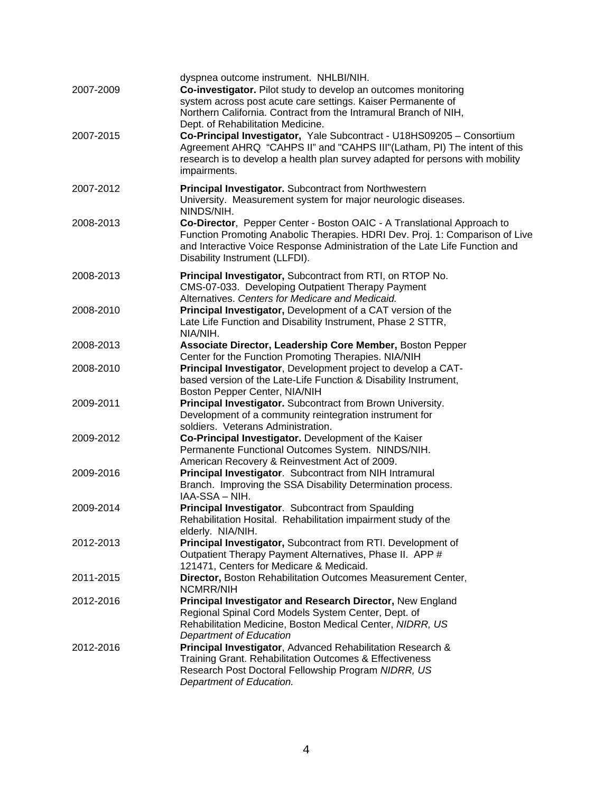| 2007-2009<br>2007-2015 | dyspnea outcome instrument. NHLBI/NIH.<br>Co-investigator. Pilot study to develop an outcomes monitoring<br>system across post acute care settings. Kaiser Permanente of<br>Northern California. Contract from the Intramural Branch of NIH,<br>Dept. of Rehabilitation Medicine.<br>Co-Principal Investigator, Yale Subcontract - U18HS09205 - Consortium<br>Agreement AHRQ "CAHPS II" and "CAHPS III"(Latham, PI) The intent of this<br>research is to develop a health plan survey adapted for persons with mobility<br>impairments. |
|------------------------|-----------------------------------------------------------------------------------------------------------------------------------------------------------------------------------------------------------------------------------------------------------------------------------------------------------------------------------------------------------------------------------------------------------------------------------------------------------------------------------------------------------------------------------------|
| 2007-2012              | Principal Investigator. Subcontract from Northwestern<br>University. Measurement system for major neurologic diseases.<br>NINDS/NIH.                                                                                                                                                                                                                                                                                                                                                                                                    |
| 2008-2013              | Co-Director, Pepper Center - Boston OAIC - A Translational Approach to<br>Function Promoting Anabolic Therapies. HDRI Dev. Proj. 1: Comparison of Live<br>and Interactive Voice Response Administration of the Late Life Function and<br>Disability Instrument (LLFDI).                                                                                                                                                                                                                                                                 |
| 2008-2013              | Principal Investigator, Subcontract from RTI, on RTOP No.<br>CMS-07-033. Developing Outpatient Therapy Payment<br>Alternatives. Centers for Medicare and Medicaid.                                                                                                                                                                                                                                                                                                                                                                      |
| 2008-2010              | Principal Investigator, Development of a CAT version of the<br>Late Life Function and Disability Instrument, Phase 2 STTR,<br>NIA/NIH.                                                                                                                                                                                                                                                                                                                                                                                                  |
| 2008-2013              | Associate Director, Leadership Core Member, Boston Pepper<br>Center for the Function Promoting Therapies. NIA/NIH                                                                                                                                                                                                                                                                                                                                                                                                                       |
| 2008-2010              | Principal Investigator, Development project to develop a CAT-<br>based version of the Late-Life Function & Disability Instrument,<br>Boston Pepper Center, NIA/NIH                                                                                                                                                                                                                                                                                                                                                                      |
| 2009-2011              | Principal Investigator. Subcontract from Brown University.<br>Development of a community reintegration instrument for<br>soldiers. Veterans Administration.                                                                                                                                                                                                                                                                                                                                                                             |
| 2009-2012              | Co-Principal Investigator. Development of the Kaiser<br>Permanente Functional Outcomes System. NINDS/NIH.<br>American Recovery & Reinvestment Act of 2009.                                                                                                                                                                                                                                                                                                                                                                              |
| 2009-2016              | Principal Investigator. Subcontract from NIH Intramural<br>Branch. Improving the SSA Disability Determination process.<br>IAA-SSA - NIH.                                                                                                                                                                                                                                                                                                                                                                                                |
| 2009-2014              | Principal Investigator. Subcontract from Spaulding<br>Rehabilitation Hosital. Rehabilitation impairment study of the<br>elderly. NIA/NIH.                                                                                                                                                                                                                                                                                                                                                                                               |
| 2012-2013              | Principal Investigator, Subcontract from RTI. Development of<br>Outpatient Therapy Payment Alternatives, Phase II. APP #<br>121471, Centers for Medicare & Medicaid.                                                                                                                                                                                                                                                                                                                                                                    |
| 2011-2015              | Director, Boston Rehabilitation Outcomes Measurement Center,<br>NCMRR/NIH                                                                                                                                                                                                                                                                                                                                                                                                                                                               |
| 2012-2016              | Principal Investigator and Research Director, New England<br>Regional Spinal Cord Models System Center, Dept. of<br>Rehabilitation Medicine, Boston Medical Center, NIDRR, US<br>Department of Education                                                                                                                                                                                                                                                                                                                                |
| 2012-2016              | Principal Investigator, Advanced Rehabilitation Research &<br>Training Grant. Rehabilitation Outcomes & Effectiveness<br>Research Post Doctoral Fellowship Program NIDRR, US<br>Department of Education.                                                                                                                                                                                                                                                                                                                                |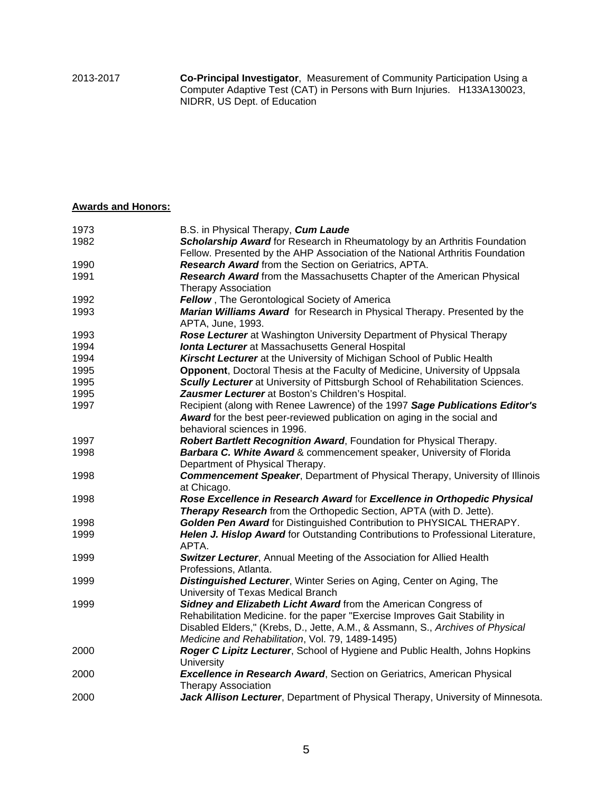### **Awards and Honors:**

| B.S. in Physical Therapy, Cum Laude<br>Scholarship Award for Research in Rheumatology by an Arthritis Foundation<br>1982<br>Fellow. Presented by the AHP Association of the National Arthritis Foundation<br>1990<br>Research Award from the Section on Geriatrics, APTA.<br>Research Award from the Massachusetts Chapter of the American Physical<br>1991<br><b>Therapy Association</b><br>Fellow, The Gerontological Society of America<br>1992<br>Marian Williams Award for Research in Physical Therapy. Presented by the<br>1993<br>APTA, June, 1993. |
|-------------------------------------------------------------------------------------------------------------------------------------------------------------------------------------------------------------------------------------------------------------------------------------------------------------------------------------------------------------------------------------------------------------------------------------------------------------------------------------------------------------------------------------------------------------|
|                                                                                                                                                                                                                                                                                                                                                                                                                                                                                                                                                             |
|                                                                                                                                                                                                                                                                                                                                                                                                                                                                                                                                                             |
|                                                                                                                                                                                                                                                                                                                                                                                                                                                                                                                                                             |
|                                                                                                                                                                                                                                                                                                                                                                                                                                                                                                                                                             |
|                                                                                                                                                                                                                                                                                                                                                                                                                                                                                                                                                             |
|                                                                                                                                                                                                                                                                                                                                                                                                                                                                                                                                                             |
|                                                                                                                                                                                                                                                                                                                                                                                                                                                                                                                                                             |
| Rose Lecturer at Washington University Department of Physical Therapy<br>1993                                                                                                                                                                                                                                                                                                                                                                                                                                                                               |
| 1994<br><b>Ionta Lecturer</b> at Massachusetts General Hospital                                                                                                                                                                                                                                                                                                                                                                                                                                                                                             |
| 1994<br>Kirscht Lecturer at the University of Michigan School of Public Health                                                                                                                                                                                                                                                                                                                                                                                                                                                                              |
| Opponent, Doctoral Thesis at the Faculty of Medicine, University of Uppsala<br>1995                                                                                                                                                                                                                                                                                                                                                                                                                                                                         |
| 1995<br>Scully Lecturer at University of Pittsburgh School of Rehabilitation Sciences.                                                                                                                                                                                                                                                                                                                                                                                                                                                                      |
| 1995<br>Zausmer Lecturer at Boston's Children's Hospital.                                                                                                                                                                                                                                                                                                                                                                                                                                                                                                   |
| Recipient (along with Renee Lawrence) of the 1997 Sage Publications Editor's<br>1997                                                                                                                                                                                                                                                                                                                                                                                                                                                                        |
| Award for the best peer-reviewed publication on aging in the social and                                                                                                                                                                                                                                                                                                                                                                                                                                                                                     |
| behavioral sciences in 1996.                                                                                                                                                                                                                                                                                                                                                                                                                                                                                                                                |
| Robert Bartlett Recognition Award, Foundation for Physical Therapy.<br>1997                                                                                                                                                                                                                                                                                                                                                                                                                                                                                 |
| Barbara C. White Award & commencement speaker, University of Florida<br>1998                                                                                                                                                                                                                                                                                                                                                                                                                                                                                |
| Department of Physical Therapy.                                                                                                                                                                                                                                                                                                                                                                                                                                                                                                                             |
| <b>Commencement Speaker, Department of Physical Therapy, University of Illinois</b><br>1998                                                                                                                                                                                                                                                                                                                                                                                                                                                                 |
| at Chicago.                                                                                                                                                                                                                                                                                                                                                                                                                                                                                                                                                 |
| Rose Excellence in Research Award for Excellence in Orthopedic Physical<br>1998                                                                                                                                                                                                                                                                                                                                                                                                                                                                             |
| Therapy Research from the Orthopedic Section, APTA (with D. Jette).                                                                                                                                                                                                                                                                                                                                                                                                                                                                                         |
| Golden Pen Award for Distinguished Contribution to PHYSICAL THERAPY.<br>1998                                                                                                                                                                                                                                                                                                                                                                                                                                                                                |
| 1999<br><b>Helen J. Hislop Award for Outstanding Contributions to Professional Literature,</b><br>APTA.                                                                                                                                                                                                                                                                                                                                                                                                                                                     |
| Switzer Lecturer, Annual Meeting of the Association for Allied Health<br>1999                                                                                                                                                                                                                                                                                                                                                                                                                                                                               |
| Professions, Atlanta.                                                                                                                                                                                                                                                                                                                                                                                                                                                                                                                                       |
| 1999<br><b>Distinguished Lecturer, Winter Series on Aging, Center on Aging, The</b>                                                                                                                                                                                                                                                                                                                                                                                                                                                                         |
| University of Texas Medical Branch                                                                                                                                                                                                                                                                                                                                                                                                                                                                                                                          |
| Sidney and Elizabeth Licht Award from the American Congress of<br>1999                                                                                                                                                                                                                                                                                                                                                                                                                                                                                      |
| Rehabilitation Medicine. for the paper "Exercise Improves Gait Stability in                                                                                                                                                                                                                                                                                                                                                                                                                                                                                 |
| Disabled Elders," (Krebs, D., Jette, A.M., & Assmann, S., Archives of Physical                                                                                                                                                                                                                                                                                                                                                                                                                                                                              |
| Medicine and Rehabilitation, Vol. 79, 1489-1495)                                                                                                                                                                                                                                                                                                                                                                                                                                                                                                            |
| Roger C Lipitz Lecturer, School of Hygiene and Public Health, Johns Hopkins<br>2000<br>University                                                                                                                                                                                                                                                                                                                                                                                                                                                           |
| <b>Excellence in Research Award, Section on Geriatrics, American Physical</b><br>2000                                                                                                                                                                                                                                                                                                                                                                                                                                                                       |
| <b>Therapy Association</b>                                                                                                                                                                                                                                                                                                                                                                                                                                                                                                                                  |
| Jack Allison Lecturer, Department of Physical Therapy, University of Minnesota.<br>2000                                                                                                                                                                                                                                                                                                                                                                                                                                                                     |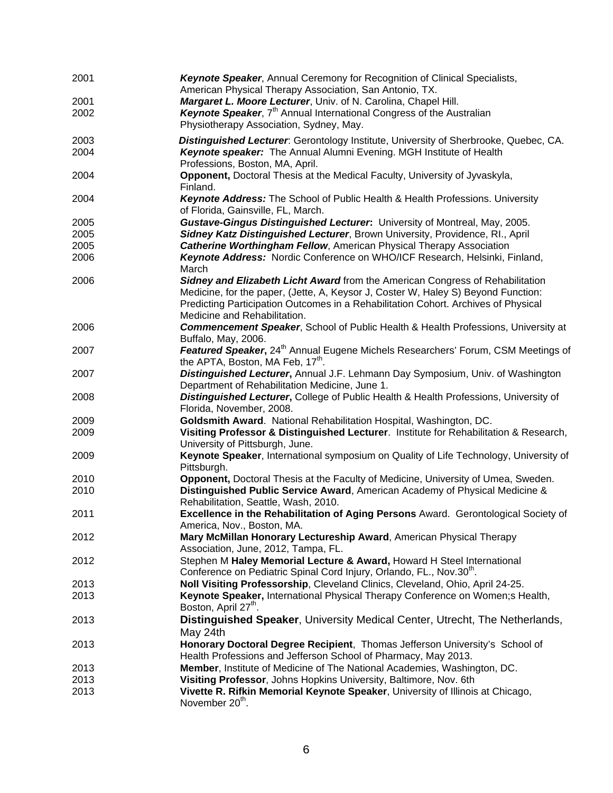| 2001 | Keynote Speaker, Annual Ceremony for Recognition of Clinical Specialists,<br>American Physical Therapy Association, San Antonio, TX.                                                                    |
|------|---------------------------------------------------------------------------------------------------------------------------------------------------------------------------------------------------------|
| 2001 | Margaret L. Moore Lecturer, Univ. of N. Carolina, Chapel Hill.                                                                                                                                          |
| 2002 | Keynote Speaker, 7 <sup>th</sup> Annual International Congress of the Australian<br>Physiotherapy Association, Sydney, May.                                                                             |
| 2003 | Distinguished Lecturer: Gerontology Institute, University of Sherbrooke, Quebec, CA.                                                                                                                    |
| 2004 | Keynote speaker: The Annual Alumni Evening. MGH Institute of Health<br>Professions, Boston, MA, April.                                                                                                  |
| 2004 | Opponent, Doctoral Thesis at the Medical Faculty, University of Jyvaskyla,<br>Finland.                                                                                                                  |
| 2004 | Keynote Address: The School of Public Health & Health Professions. University<br>of Florida, Gainsville, FL, March.                                                                                     |
| 2005 | Gustave-Gingus Distinguished Lecturer: University of Montreal, May, 2005.                                                                                                                               |
| 2005 | Sidney Katz Distinguished Lecturer, Brown University, Providence, Rl., April                                                                                                                            |
| 2005 | <b>Catherine Worthingham Fellow, American Physical Therapy Association</b>                                                                                                                              |
| 2006 | Keynote Address: Nordic Conference on WHO/ICF Research, Helsinki, Finland,<br>March                                                                                                                     |
| 2006 | Sidney and Elizabeth Licht Award from the American Congress of Rehabilitation                                                                                                                           |
|      | Medicine, for the paper, (Jette, A, Keysor J, Coster W, Haley S) Beyond Function:<br>Predicting Participation Outcomes in a Rehabilitation Cohort. Archives of Physical<br>Medicine and Rehabilitation. |
| 2006 | Commencement Speaker, School of Public Health & Health Professions, University at<br>Buffalo, May, 2006.                                                                                                |
| 2007 | Featured Speaker, 24 <sup>th</sup> Annual Eugene Michels Researchers' Forum, CSM Meetings of<br>the APTA, Boston, MA Feb, 17 <sup>th</sup> .                                                            |
| 2007 | Distinguished Lecturer, Annual J.F. Lehmann Day Symposium, Univ. of Washington<br>Department of Rehabilitation Medicine, June 1.                                                                        |
| 2008 | Distinguished Lecturer, College of Public Health & Health Professions, University of<br>Florida, November, 2008.                                                                                        |
| 2009 | Goldsmith Award. National Rehabilitation Hospital, Washington, DC.                                                                                                                                      |
| 2009 | Visiting Professor & Distinguished Lecturer. Institute for Rehabilitation & Research,<br>University of Pittsburgh, June.                                                                                |
| 2009 | Keynote Speaker, International symposium on Quality of Life Technology, University of<br>Pittsburgh.                                                                                                    |
| 2010 | Opponent, Doctoral Thesis at the Faculty of Medicine, University of Umea, Sweden.                                                                                                                       |
| 2010 | Distinguished Public Service Award, American Academy of Physical Medicine &<br>Rehabilitation, Seattle, Wash, 2010.                                                                                     |
| 2011 | Excellence in the Rehabilitation of Aging Persons Award. Gerontological Society of<br>America, Nov., Boston, MA.                                                                                        |
| 2012 | Mary McMillan Honorary Lectureship Award, American Physical Therapy<br>Association, June, 2012, Tampa, FL.                                                                                              |
| 2012 | Stephen M Haley Memorial Lecture & Award, Howard H Steel International<br>Conference on Pediatric Spinal Cord Injury, Orlando, FL., Nov.30 <sup>th</sup> .                                              |
| 2013 | Noll Visiting Professorship, Cleveland Clinics, Cleveland, Ohio, April 24-25.                                                                                                                           |
| 2013 | Keynote Speaker, International Physical Therapy Conference on Women; S Health,<br>Boston, April 27 <sup>th</sup> .                                                                                      |
| 2013 | Distinguished Speaker, University Medical Center, Utrecht, The Netherlands,<br>May 24th                                                                                                                 |
| 2013 | Honorary Doctoral Degree Recipient, Thomas Jefferson University's School of<br>Health Professions and Jefferson School of Pharmacy, May 2013.                                                           |
| 2013 | Member, Institute of Medicine of The National Academies, Washington, DC.                                                                                                                                |
| 2013 | Visiting Professor, Johns Hopkins University, Baltimore, Nov. 6th                                                                                                                                       |
| 2013 | Vivette R. Rifkin Memorial Keynote Speaker, University of Illinois at Chicago,<br>November 20 <sup>th</sup> .                                                                                           |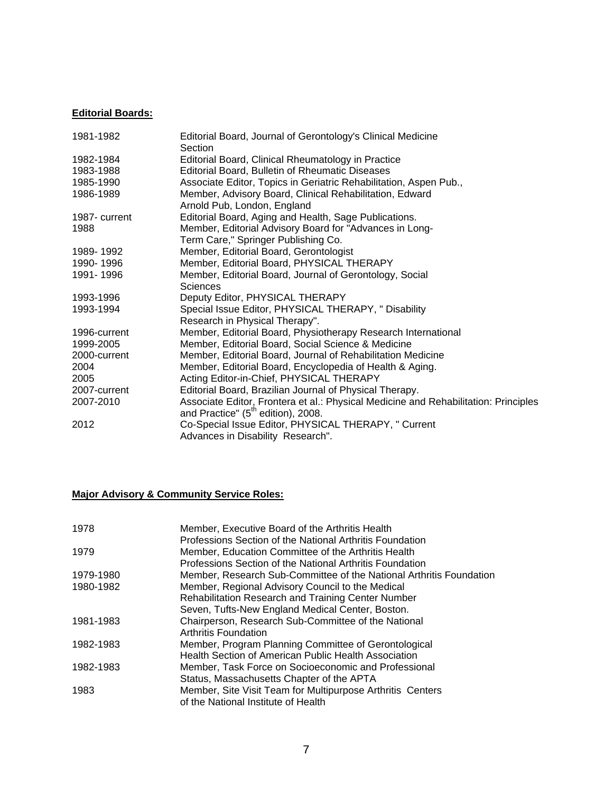# **Editorial Boards:**

| 1981-1982     | Editorial Board, Journal of Gerontology's Clinical Medicine<br>Section              |
|---------------|-------------------------------------------------------------------------------------|
| 1982-1984     | Editorial Board, Clinical Rheumatology in Practice                                  |
| 1983-1988     | <b>Editorial Board, Bulletin of Rheumatic Diseases</b>                              |
| 1985-1990     | Associate Editor, Topics in Geriatric Rehabilitation, Aspen Pub.,                   |
| 1986-1989     | Member, Advisory Board, Clinical Rehabilitation, Edward                             |
|               | Arnold Pub, London, England                                                         |
| 1987- current | Editorial Board, Aging and Health, Sage Publications.                               |
| 1988          | Member, Editorial Advisory Board for "Advances in Long-                             |
|               | Term Care," Springer Publishing Co.                                                 |
| 1989-1992     | Member, Editorial Board, Gerontologist                                              |
| 1990-1996     | Member, Editorial Board, PHYSICAL THERAPY                                           |
| 1991-1996     | Member, Editorial Board, Journal of Gerontology, Social                             |
|               | <b>Sciences</b>                                                                     |
| 1993-1996     | Deputy Editor, PHYSICAL THERAPY                                                     |
| 1993-1994     | Special Issue Editor, PHYSICAL THERAPY, "Disability                                 |
|               | Research in Physical Therapy".                                                      |
| 1996-current  | Member, Editorial Board, Physiotherapy Research International                       |
| 1999-2005     | Member, Editorial Board, Social Science & Medicine                                  |
| 2000-current  | Member, Editorial Board, Journal of Rehabilitation Medicine                         |
| 2004          | Member, Editorial Board, Encyclopedia of Health & Aging.                            |
| 2005          | Acting Editor-in-Chief, PHYSICAL THERAPY                                            |
| 2007-current  | Editorial Board, Brazilian Journal of Physical Therapy.                             |
| 2007-2010     | Associate Editor, Frontera et al.: Physical Medicine and Rehabilitation: Principles |
|               | and Practice" (5 <sup>th</sup> edition), 2008.                                      |
| 2012          | Co-Special Issue Editor, PHYSICAL THERAPY, " Current                                |
|               | Advances in Disability Research".                                                   |

# **Major Advisory & Community Service Roles:**

| 1978      | Member, Executive Board of the Arthritis Health                     |
|-----------|---------------------------------------------------------------------|
|           | Professions Section of the National Arthritis Foundation            |
| 1979      | Member, Education Committee of the Arthritis Health                 |
|           | Professions Section of the National Arthritis Foundation            |
| 1979-1980 | Member, Research Sub-Committee of the National Arthritis Foundation |
| 1980-1982 | Member, Regional Advisory Council to the Medical                    |
|           | Rehabilitation Research and Training Center Number                  |
|           | Seven, Tufts-New England Medical Center, Boston.                    |
| 1981-1983 | Chairperson, Research Sub-Committee of the National                 |
|           | <b>Arthritis Foundation</b>                                         |
| 1982-1983 | Member, Program Planning Committee of Gerontological                |
|           | Health Section of American Public Health Association                |
| 1982-1983 | Member, Task Force on Socioeconomic and Professional                |
|           | Status, Massachusetts Chapter of the APTA                           |
| 1983      | Member, Site Visit Team for Multipurpose Arthritis Centers          |
|           | of the National Institute of Health                                 |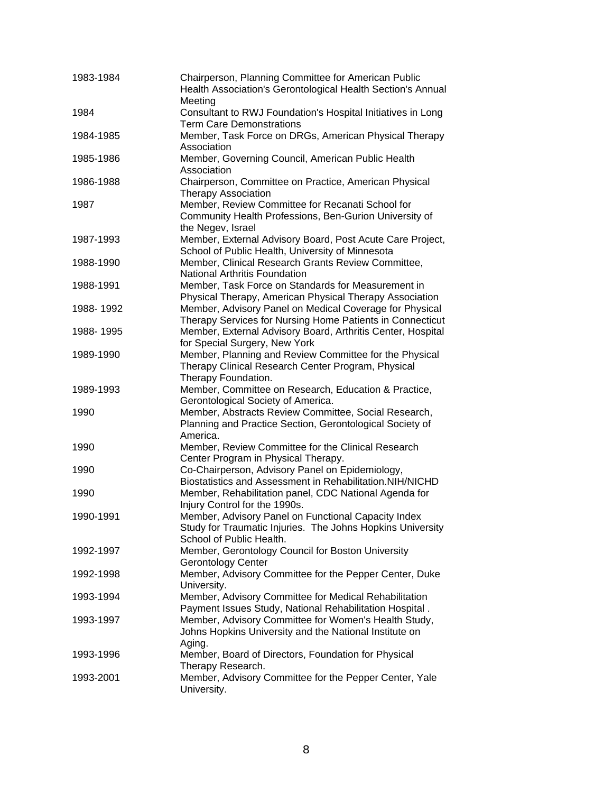| 1983-1984 | Chairperson, Planning Committee for American Public<br>Health Association's Gerontological Health Section's Annual<br>Meeting                 |
|-----------|-----------------------------------------------------------------------------------------------------------------------------------------------|
| 1984      | Consultant to RWJ Foundation's Hospital Initiatives in Long<br><b>Term Care Demonstrations</b>                                                |
| 1984-1985 | Member, Task Force on DRGs, American Physical Therapy<br>Association                                                                          |
| 1985-1986 | Member, Governing Council, American Public Health<br>Association                                                                              |
| 1986-1988 | Chairperson, Committee on Practice, American Physical<br><b>Therapy Association</b>                                                           |
| 1987      | Member, Review Committee for Recanati School for<br>Community Health Professions, Ben-Gurion University of<br>the Negev, Israel               |
| 1987-1993 | Member, External Advisory Board, Post Acute Care Project,<br>School of Public Health, University of Minnesota                                 |
| 1988-1990 | Member, Clinical Research Grants Review Committee,<br><b>National Arthritis Foundation</b>                                                    |
| 1988-1991 | Member, Task Force on Standards for Measurement in<br>Physical Therapy, American Physical Therapy Association                                 |
| 1988-1992 | Member, Advisory Panel on Medical Coverage for Physical<br>Therapy Services for Nursing Home Patients in Connecticut                          |
| 1988-1995 | Member, External Advisory Board, Arthritis Center, Hospital<br>for Special Surgery, New York                                                  |
| 1989-1990 | Member, Planning and Review Committee for the Physical<br>Therapy Clinical Research Center Program, Physical<br>Therapy Foundation.           |
| 1989-1993 | Member, Committee on Research, Education & Practice,<br>Gerontological Society of America.                                                    |
| 1990      | Member, Abstracts Review Committee, Social Research,<br>Planning and Practice Section, Gerontological Society of<br>America.                  |
| 1990      | Member, Review Committee for the Clinical Research<br>Center Program in Physical Therapy.                                                     |
| 1990      | Co-Chairperson, Advisory Panel on Epidemiology,<br>Biostatistics and Assessment in Rehabilitation.NIH/NICHD                                   |
| 1990      | Member, Rehabilitation panel, CDC National Agenda for<br>Injury Control for the 1990s.                                                        |
| 1990-1991 | Member, Advisory Panel on Functional Capacity Index<br>Study for Traumatic Injuries. The Johns Hopkins University<br>School of Public Health. |
| 1992-1997 | Member, Gerontology Council for Boston University<br><b>Gerontology Center</b>                                                                |
| 1992-1998 | Member, Advisory Committee for the Pepper Center, Duke<br>University.                                                                         |
| 1993-1994 | Member, Advisory Committee for Medical Rehabilitation<br>Payment Issues Study, National Rehabilitation Hospital.                              |
| 1993-1997 | Member, Advisory Committee for Women's Health Study,<br>Johns Hopkins University and the National Institute on<br>Aging.                      |
| 1993-1996 | Member, Board of Directors, Foundation for Physical<br>Therapy Research.                                                                      |
| 1993-2001 | Member, Advisory Committee for the Pepper Center, Yale<br>University.                                                                         |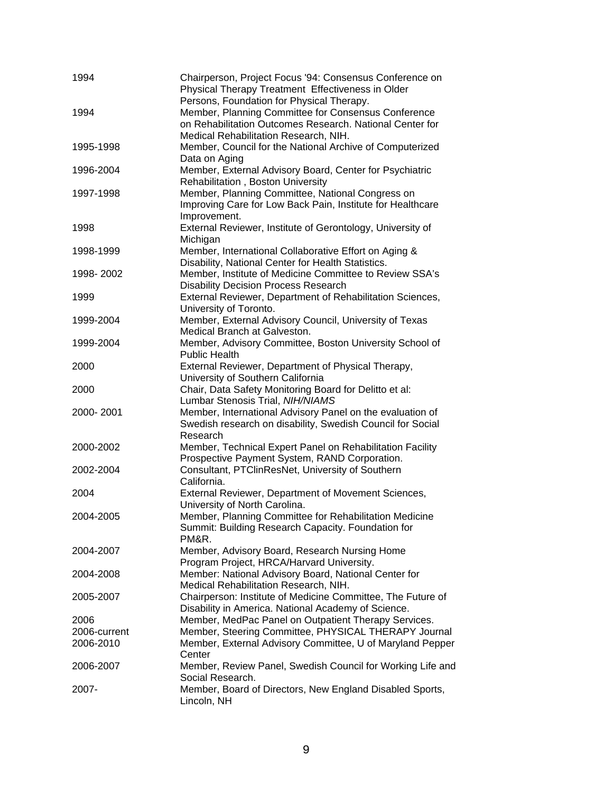| 1994         | Chairperson, Project Focus '94: Consensus Conference on<br>Physical Therapy Treatment Effectiveness in Older                                                                                          |
|--------------|-------------------------------------------------------------------------------------------------------------------------------------------------------------------------------------------------------|
| 1994         | Persons, Foundation for Physical Therapy.<br>Member, Planning Committee for Consensus Conference<br>on Rehabilitation Outcomes Research. National Center for<br>Medical Rehabilitation Research, NIH. |
| 1995-1998    | Member, Council for the National Archive of Computerized<br>Data on Aging                                                                                                                             |
| 1996-2004    | Member, External Advisory Board, Center for Psychiatric<br>Rehabilitation, Boston University                                                                                                          |
| 1997-1998    | Member, Planning Committee, National Congress on<br>Improving Care for Low Back Pain, Institute for Healthcare<br>Improvement.                                                                        |
| 1998         | External Reviewer, Institute of Gerontology, University of<br>Michigan                                                                                                                                |
| 1998-1999    | Member, International Collaborative Effort on Aging &<br>Disability, National Center for Health Statistics.                                                                                           |
| 1998-2002    | Member, Institute of Medicine Committee to Review SSA's<br><b>Disability Decision Process Research</b>                                                                                                |
| 1999         | External Reviewer, Department of Rehabilitation Sciences,<br>University of Toronto.                                                                                                                   |
| 1999-2004    | Member, External Advisory Council, University of Texas<br>Medical Branch at Galveston.                                                                                                                |
| 1999-2004    | Member, Advisory Committee, Boston University School of<br><b>Public Health</b>                                                                                                                       |
| 2000         | External Reviewer, Department of Physical Therapy,<br>University of Southern California                                                                                                               |
| 2000         | Chair, Data Safety Monitoring Board for Delitto et al:<br>Lumbar Stenosis Trial, NIH/NIAMS                                                                                                            |
| 2000-2001    | Member, International Advisory Panel on the evaluation of<br>Swedish research on disability, Swedish Council for Social                                                                               |
| 2000-2002    | Research<br>Member, Technical Expert Panel on Rehabilitation Facility                                                                                                                                 |
| 2002-2004    | Prospective Payment System, RAND Corporation.<br>Consultant, PTClinResNet, University of Southern<br>California.                                                                                      |
| 2004         | External Reviewer, Department of Movement Sciences,<br>University of North Carolina.                                                                                                                  |
| 2004-2005    | Member, Planning Committee for Rehabilitation Medicine<br>Summit: Building Research Capacity. Foundation for<br>PM&R.                                                                                 |
| 2004-2007    | Member, Advisory Board, Research Nursing Home<br>Program Project, HRCA/Harvard University.                                                                                                            |
| 2004-2008    | Member: National Advisory Board, National Center for<br>Medical Rehabilitation Research, NIH.                                                                                                         |
| 2005-2007    | Chairperson: Institute of Medicine Committee, The Future of<br>Disability in America. National Academy of Science.                                                                                    |
| 2006         | Member, MedPac Panel on Outpatient Therapy Services.                                                                                                                                                  |
| 2006-current | Member, Steering Committee, PHYSICAL THERAPY Journal                                                                                                                                                  |
| 2006-2010    | Member, External Advisory Committee, U of Maryland Pepper                                                                                                                                             |
|              | Center                                                                                                                                                                                                |
| 2006-2007    | Member, Review Panel, Swedish Council for Working Life and<br>Social Research.                                                                                                                        |
| 2007-        | Member, Board of Directors, New England Disabled Sports,<br>Lincoln, NH                                                                                                                               |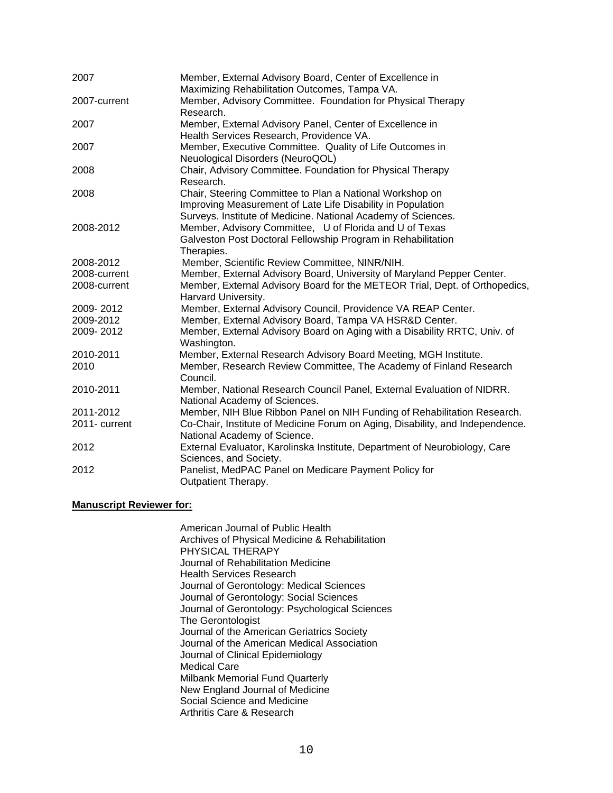| 2007          | Member, External Advisory Board, Center of Excellence in<br>Maximizing Rehabilitation Outcomes, Tampa VA.                                                                                |
|---------------|------------------------------------------------------------------------------------------------------------------------------------------------------------------------------------------|
| 2007-current  | Member, Advisory Committee. Foundation for Physical Therapy<br>Research.                                                                                                                 |
| 2007          | Member, External Advisory Panel, Center of Excellence in<br>Health Services Research, Providence VA.                                                                                     |
| 2007          | Member, Executive Committee. Quality of Life Outcomes in<br>Neuological Disorders (NeuroQOL)                                                                                             |
| 2008          | Chair, Advisory Committee. Foundation for Physical Therapy<br>Research.                                                                                                                  |
| 2008          | Chair, Steering Committee to Plan a National Workshop on<br>Improving Measurement of Late Life Disability in Population<br>Surveys. Institute of Medicine. National Academy of Sciences. |
| 2008-2012     | Member, Advisory Committee, U of Florida and U of Texas<br>Galveston Post Doctoral Fellowship Program in Rehabilitation<br>Therapies.                                                    |
| 2008-2012     | Member, Scientific Review Committee, NINR/NIH.                                                                                                                                           |
| 2008-current  | Member, External Advisory Board, University of Maryland Pepper Center.                                                                                                                   |
| 2008-current  | Member, External Advisory Board for the METEOR Trial, Dept. of Orthopedics,<br>Harvard University.                                                                                       |
| 2009-2012     | Member, External Advisory Council, Providence VA REAP Center.                                                                                                                            |
| 2009-2012     | Member, External Advisory Board, Tampa VA HSR&D Center.                                                                                                                                  |
| 2009-2012     | Member, External Advisory Board on Aging with a Disability RRTC, Univ. of<br>Washington.                                                                                                 |
| 2010-2011     | Member, External Research Advisory Board Meeting, MGH Institute.                                                                                                                         |
| 2010          | Member, Research Review Committee, The Academy of Finland Research<br>Council.                                                                                                           |
| 2010-2011     | Member, National Research Council Panel, External Evaluation of NIDRR.<br>National Academy of Sciences.                                                                                  |
| 2011-2012     | Member, NIH Blue Ribbon Panel on NIH Funding of Rehabilitation Research.                                                                                                                 |
| 2011- current | Co-Chair, Institute of Medicine Forum on Aging, Disability, and Independence.<br>National Academy of Science.                                                                            |
| 2012          | External Evaluator, Karolinska Institute, Department of Neurobiology, Care<br>Sciences, and Society.                                                                                     |
| 2012          | Panelist, MedPAC Panel on Medicare Payment Policy for<br>Outpatient Therapy.                                                                                                             |

#### **Manuscript Reviewer for:**

American Journal of Public Health Archives of Physical Medicine & Rehabilitation PHYSICAL THERAPY Journal of Rehabilitation Medicine Health Services Research Journal of Gerontology: Medical Sciences Journal of Gerontology: Social Sciences Journal of Gerontology: Psychological Sciences The Gerontologist Journal of the American Geriatrics Society Journal of the American Medical Association Journal of Clinical Epidemiology Medical Care Milbank Memorial Fund Quarterly New England Journal of Medicine Social Science and Medicine Arthritis Care & Research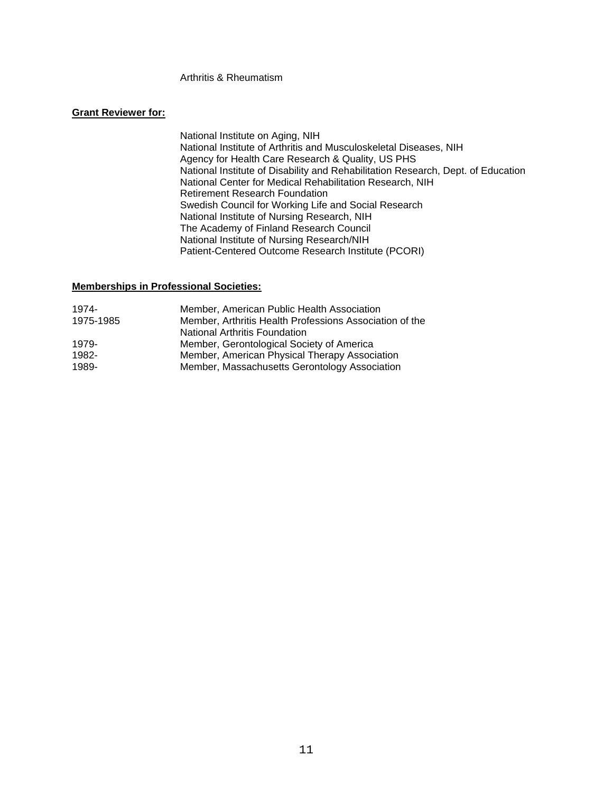#### Arthritis & Rheumatism

#### **Grant Reviewer for:**

National Institute on Aging, NIH National Institute of Arthritis and Musculoskeletal Diseases, NIH Agency for Health Care Research & Quality, US PHS National Institute of Disability and Rehabilitation Research, Dept. of Education National Center for Medical Rehabilitation Research, NIH Retirement Research Foundation Swedish Council for Working Life and Social Research National Institute of Nursing Research, NIH The Academy of Finland Research Council National Institute of Nursing Research/NIH Patient-Centered Outcome Research Institute (PCORI)

#### **Memberships in Professional Societies:**

| 1974-     | Member, American Public Health Association              |
|-----------|---------------------------------------------------------|
| 1975-1985 | Member, Arthritis Health Professions Association of the |
|           | <b>National Arthritis Foundation</b>                    |
| 1979-     | Member, Gerontological Society of America               |
| 1982-     | Member, American Physical Therapy Association           |
| 1989-     | Member, Massachusetts Gerontology Association           |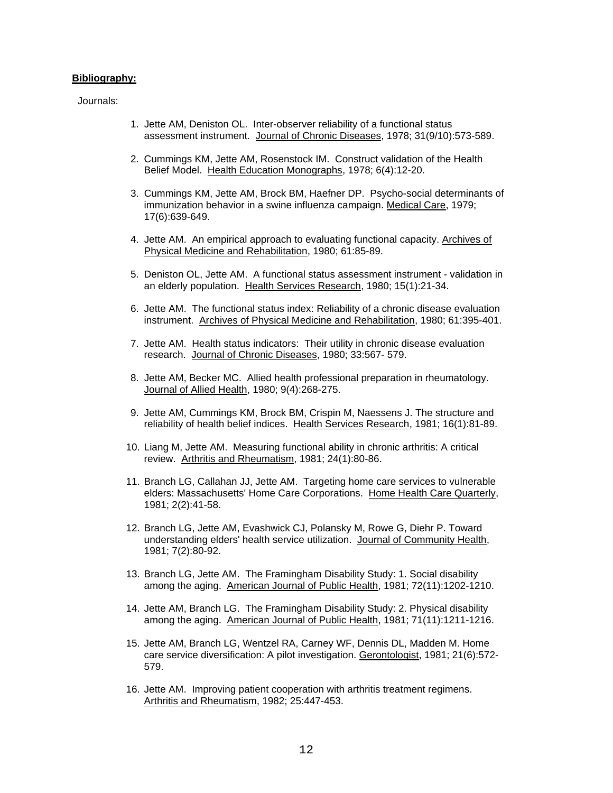#### **Bibliography:**

Journals:

- 1. Jette AM, Deniston OL. Inter-observer reliability of a functional status assessment instrument. Journal of Chronic Diseases, 1978; 31(9/10):573-589.
- 2. Cummings KM, Jette AM, Rosenstock IM. Construct validation of the Health Belief Model. Health Education Monographs, 1978; 6(4):12-20.
- 3. Cummings KM, Jette AM, Brock BM, Haefner DP. Psycho-social determinants of immunization behavior in a swine influenza campaign. Medical Care, 1979; 17(6):639-649.
- 4. Jette AM. An empirical approach to evaluating functional capacity. Archives of Physical Medicine and Rehabilitation, 1980; 61:85-89.
- 5. Deniston OL, Jette AM. A functional status assessment instrument validation in an elderly population. Health Services Research, 1980; 15(1):21-34.
- 6. Jette AM. The functional status index: Reliability of a chronic disease evaluation instrument. Archives of Physical Medicine and Rehabilitation, 1980; 61:395-401.
- 7. Jette AM. Health status indicators: Their utility in chronic disease evaluation research. Journal of Chronic Diseases, 1980; 33:567- 579.
- 8. Jette AM, Becker MC. Allied health professional preparation in rheumatology. Journal of Allied Health, 1980; 9(4):268-275.
- 9. Jette AM, Cummings KM, Brock BM, Crispin M, Naessens J. The structure and reliability of health belief indices. Health Services Research, 1981; 16(1):81-89.
- 10. Liang M, Jette AM. Measuring functional ability in chronic arthritis: A critical review. Arthritis and Rheumatism, 1981; 24(1):80-86.
- 11. Branch LG, Callahan JJ, Jette AM. Targeting home care services to vulnerable elders: Massachusetts' Home Care Corporations. Home Health Care Quarterly, 1981; 2(2):41-58.
- 12. Branch LG, Jette AM, Evashwick CJ, Polansky M, Rowe G, Diehr P. Toward understanding elders' health service utilization. Journal of Community Health, 1981; 7(2):80-92.
- 13. Branch LG, Jette AM. The Framingham Disability Study: 1. Social disability among the aging. American Journal of Public Health, 1981; 72(11):1202-1210.
- 14. Jette AM, Branch LG. The Framingham Disability Study: 2. Physical disability among the aging. American Journal of Public Health, 1981; 71(11):1211-1216.
- 15. Jette AM, Branch LG, Wentzel RA, Carney WF, Dennis DL, Madden M. Home care service diversification: A pilot investigation. Gerontologist, 1981; 21(6):572- 579.
- 16. Jette AM. Improving patient cooperation with arthritis treatment regimens. Arthritis and Rheumatism, 1982; 25:447-453.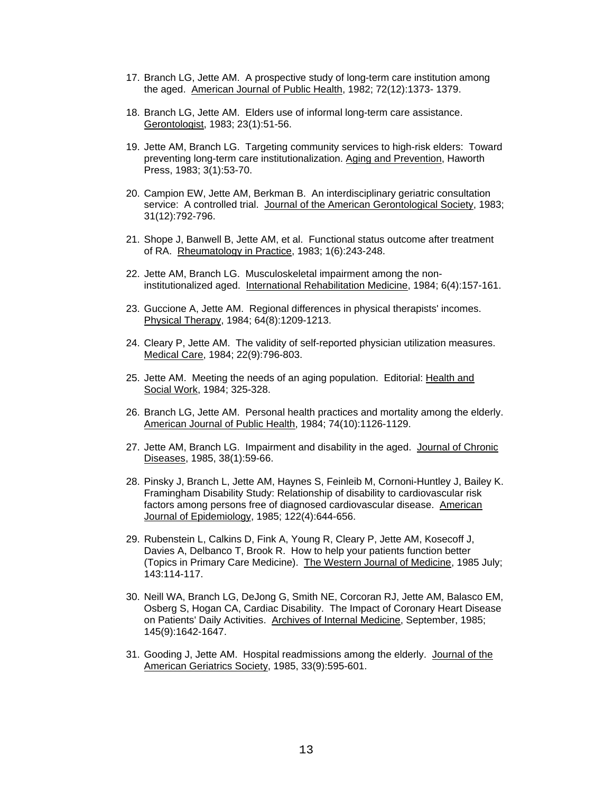- 17. Branch LG, Jette AM. A prospective study of long-term care institution among the aged. American Journal of Public Health, 1982; 72(12):1373- 1379.
- 18. Branch LG, Jette AM. Elders use of informal long-term care assistance. Gerontologist, 1983; 23(1):51-56.
- 19. Jette AM, Branch LG. Targeting community services to high-risk elders: Toward preventing long-term care institutionalization. Aging and Prevention, Haworth Press, 1983; 3(1):53-70.
- 20. Campion EW, Jette AM, Berkman B. An interdisciplinary geriatric consultation service: A controlled trial. Journal of the American Gerontological Society, 1983; 31(12):792-796.
- 21. Shope J, Banwell B, Jette AM, et al. Functional status outcome after treatment of RA. Rheumatology in Practice, 1983; 1(6):243-248.
- 22. Jette AM, Branch LG. Musculoskeletal impairment among the noninstitutionalized aged. International Rehabilitation Medicine, 1984; 6(4):157-161.
- 23. Guccione A, Jette AM. Regional differences in physical therapists' incomes. Physical Therapy, 1984; 64(8):1209-1213.
- 24. Cleary P, Jette AM. The validity of self-reported physician utilization measures. Medical Care, 1984; 22(9):796-803.
- 25. Jette AM. Meeting the needs of an aging population. Editorial: Health and Social Work, 1984; 325-328.
- 26. Branch LG, Jette AM. Personal health practices and mortality among the elderly. American Journal of Public Health, 1984; 74(10):1126-1129.
- 27. Jette AM, Branch LG. Impairment and disability in the aged. Journal of Chronic Diseases, 1985, 38(1):59-66.
- 28. Pinsky J, Branch L, Jette AM, Haynes S, Feinleib M, Cornoni-Huntley J, Bailey K. Framingham Disability Study: Relationship of disability to cardiovascular risk factors among persons free of diagnosed cardiovascular disease. American Journal of Epidemiology, 1985; 122(4):644-656.
- 29. Rubenstein L, Calkins D, Fink A, Young R, Cleary P, Jette AM, Kosecoff J, Davies A, Delbanco T, Brook R. How to help your patients function better (Topics in Primary Care Medicine). The Western Journal of Medicine, 1985 July; 143:114-117.
- 30. Neill WA, Branch LG, DeJong G, Smith NE, Corcoran RJ, Jette AM, Balasco EM, Osberg S, Hogan CA, Cardiac Disability. The Impact of Coronary Heart Disease on Patients' Daily Activities. Archives of Internal Medicine, September, 1985; 145(9):1642-1647.
- 31. Gooding J, Jette AM. Hospital readmissions among the elderly. Journal of the American Geriatrics Society, 1985, 33(9):595-601.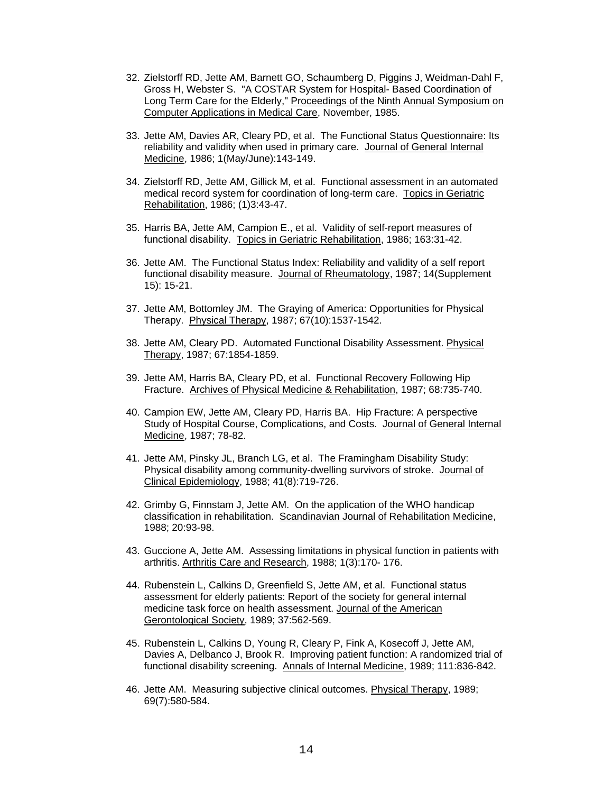- 32. Zielstorff RD, Jette AM, Barnett GO, Schaumberg D, Piggins J, Weidman-Dahl F, Gross H, Webster S. "A COSTAR System for Hospital- Based Coordination of Long Term Care for the Elderly," Proceedings of the Ninth Annual Symposium on Computer Applications in Medical Care, November, 1985.
- 33. Jette AM, Davies AR, Cleary PD, et al. The Functional Status Questionnaire: Its reliability and validity when used in primary care. Journal of General Internal Medicine, 1986; 1(May/June):143-149.
- 34. Zielstorff RD, Jette AM, Gillick M, et al. Functional assessment in an automated medical record system for coordination of long-term care. Topics in Geriatric Rehabilitation, 1986; (1)3:43-47.
- 35. Harris BA, Jette AM, Campion E., et al. Validity of self-report measures of functional disability. Topics in Geriatric Rehabilitation, 1986; 163:31-42.
- 36. Jette AM. The Functional Status Index: Reliability and validity of a self report functional disability measure. Journal of Rheumatology, 1987; 14(Supplement 15): 15-21.
- 37. Jette AM, Bottomley JM. The Graying of America: Opportunities for Physical Therapy. Physical Therapy, 1987; 67(10):1537-1542.
- 38. Jette AM, Cleary PD. Automated Functional Disability Assessment. Physical Therapy, 1987; 67:1854-1859.
- 39. Jette AM, Harris BA, Cleary PD, et al. Functional Recovery Following Hip Fracture. Archives of Physical Medicine & Rehabilitation, 1987; 68:735-740.
- 40. Campion EW, Jette AM, Cleary PD, Harris BA. Hip Fracture: A perspective Study of Hospital Course, Complications, and Costs. Journal of General Internal Medicine, 1987; 78-82.
- 41. Jette AM, Pinsky JL, Branch LG, et al. The Framingham Disability Study: Physical disability among community-dwelling survivors of stroke. Journal of Clinical Epidemiology, 1988; 41(8):719-726.
- 42. Grimby G, Finnstam J, Jette AM. On the application of the WHO handicap classification in rehabilitation. Scandinavian Journal of Rehabilitation Medicine, 1988; 20:93-98.
- 43. Guccione A, Jette AM. Assessing limitations in physical function in patients with arthritis. Arthritis Care and Research, 1988; 1(3):170- 176.
- 44. Rubenstein L, Calkins D, Greenfield S, Jette AM, et al. Functional status assessment for elderly patients: Report of the society for general internal medicine task force on health assessment. Journal of the American Gerontological Society, 1989; 37:562-569.
- 45. Rubenstein L, Calkins D, Young R, Cleary P, Fink A, Kosecoff J, Jette AM, Davies A, Delbanco J, Brook R. Improving patient function: A randomized trial of functional disability screening. Annals of Internal Medicine, 1989; 111:836-842.
- 46. Jette AM. Measuring subjective clinical outcomes. Physical Therapy, 1989; 69(7):580-584.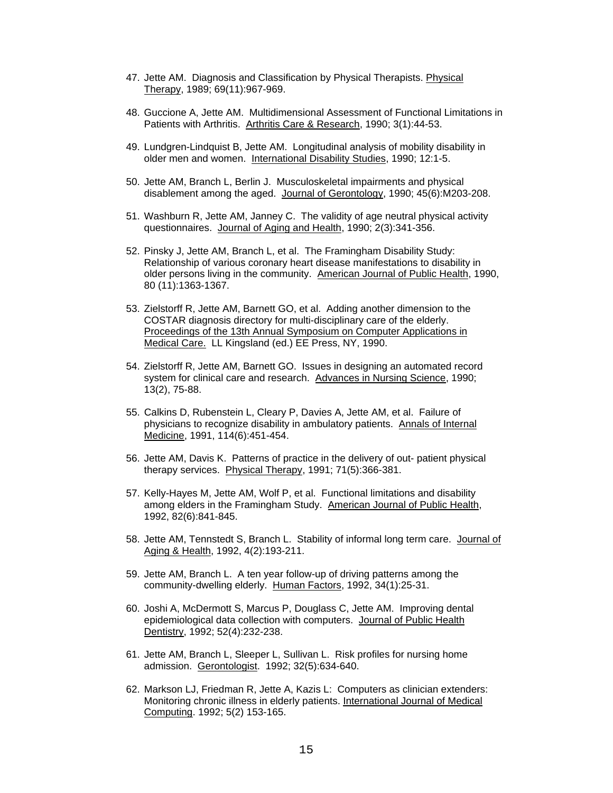- 47. Jette AM. Diagnosis and Classification by Physical Therapists. Physical Therapy, 1989; 69(11):967-969.
- 48. Guccione A, Jette AM. Multidimensional Assessment of Functional Limitations in Patients with Arthritis. Arthritis Care & Research, 1990; 3(1):44-53.
- 49. Lundgren-Lindquist B, Jette AM. Longitudinal analysis of mobility disability in older men and women. International Disability Studies, 1990; 12:1-5.
- 50. Jette AM, Branch L, Berlin J. Musculoskeletal impairments and physical disablement among the aged. Journal of Gerontology, 1990; 45(6):M203-208.
- 51. Washburn R, Jette AM, Janney C. The validity of age neutral physical activity questionnaires. Journal of Aging and Health, 1990; 2(3):341-356.
- 52. Pinsky J, Jette AM, Branch L, et al. The Framingham Disability Study: Relationship of various coronary heart disease manifestations to disability in older persons living in the community. American Journal of Public Health, 1990, 80 (11):1363-1367.
- 53. Zielstorff R, Jette AM, Barnett GO, et al. Adding another dimension to the COSTAR diagnosis directory for multi-disciplinary care of the elderly. Proceedings of the 13th Annual Symposium on Computer Applications in Medical Care. LL Kingsland (ed.) EE Press, NY, 1990.
- 54. Zielstorff R, Jette AM, Barnett GO. Issues in designing an automated record system for clinical care and research. Advances in Nursing Science, 1990; 13(2), 75-88.
- 55. Calkins D, Rubenstein L, Cleary P, Davies A, Jette AM, et al. Failure of physicians to recognize disability in ambulatory patients. Annals of Internal Medicine, 1991, 114(6):451-454.
- 56. Jette AM, Davis K. Patterns of practice in the delivery of out- patient physical therapy services. Physical Therapy, 1991; 71(5):366-381.
- 57. Kelly-Hayes M, Jette AM, Wolf P, et al. Functional limitations and disability among elders in the Framingham Study. American Journal of Public Health, 1992, 82(6):841-845.
- 58. Jette AM, Tennstedt S, Branch L. Stability of informal long term care. Journal of Aging & Health, 1992, 4(2):193-211.
- 59. Jette AM, Branch L. A ten year follow-up of driving patterns among the community-dwelling elderly. Human Factors, 1992, 34(1):25-31.
- 60. Joshi A, McDermott S, Marcus P, Douglass C, Jette AM. Improving dental epidemiological data collection with computers. Journal of Public Health Dentistry, 1992; 52(4):232-238.
- 61. Jette AM, Branch L, Sleeper L, Sullivan L. Risk profiles for nursing home admission. Gerontologist. 1992; 32(5):634-640.
- 62. Markson LJ, Friedman R, Jette A, Kazis L: Computers as clinician extenders: Monitoring chronic illness in elderly patients. International Journal of Medical Computing. 1992; 5(2) 153-165.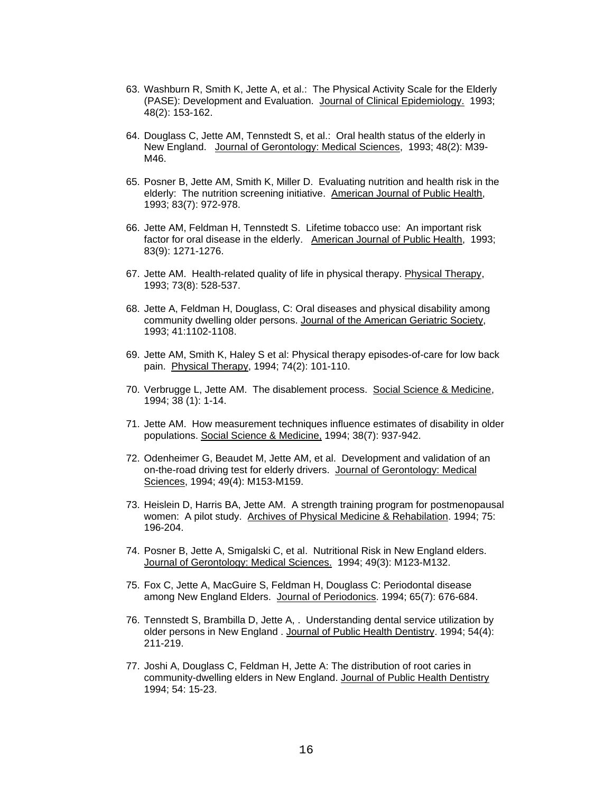- 63. Washburn R, Smith K, Jette A, et al.: The Physical Activity Scale for the Elderly (PASE): Development and Evaluation. Journal of Clinical Epidemiology. 1993; 48(2): 153-162.
- 64. Douglass C, Jette AM, Tennstedt S, et al.: Oral health status of the elderly in New England. Journal of Gerontology: Medical Sciences, 1993; 48(2): M39- M46.
- 65. Posner B, Jette AM, Smith K, Miller D. Evaluating nutrition and health risk in the elderly: The nutrition screening initiative. American Journal of Public Health, 1993; 83(7): 972-978.
- 66. Jette AM, Feldman H, Tennstedt S. Lifetime tobacco use: An important risk factor for oral disease in the elderly. American Journal of Public Health, 1993; 83(9): 1271-1276.
- 67. Jette AM. Health-related quality of life in physical therapy. Physical Therapy, 1993; 73(8): 528-537.
- 68. Jette A, Feldman H, Douglass, C: Oral diseases and physical disability among community dwelling older persons. Journal of the American Geriatric Society, 1993; 41:1102-1108.
- 69. Jette AM, Smith K, Haley S et al: Physical therapy episodes-of-care for low back pain. Physical Therapy, 1994; 74(2): 101-110.
- 70. Verbrugge L, Jette AM. The disablement process. Social Science & Medicine, 1994; 38 (1): 1-14.
- 71. Jette AM. How measurement techniques influence estimates of disability in older populations. Social Science & Medicine, 1994; 38(7): 937-942.
- 72. Odenheimer G, Beaudet M, Jette AM, et al. Development and validation of an on-the-road driving test for elderly drivers. Journal of Gerontology: Medical Sciences, 1994; 49(4): M153-M159.
- 73. Heislein D, Harris BA, Jette AM. A strength training program for postmenopausal women: A pilot study. Archives of Physical Medicine & Rehabilation. 1994; 75: 196-204.
- 74. Posner B, Jette A, Smigalski C, et al. Nutritional Risk in New England elders. Journal of Gerontology: Medical Sciences. 1994; 49(3): M123-M132.
- 75. Fox C, Jette A, MacGuire S, Feldman H, Douglass C: Periodontal disease among New England Elders. Journal of Periodonics. 1994; 65(7): 676-684.
- 76. Tennstedt S, Brambilla D, Jette A, . Understanding dental service utilization by older persons in New England . Journal of Public Health Dentistry. 1994; 54(4): 211-219.
- 77. Joshi A, Douglass C, Feldman H, Jette A: The distribution of root caries in community-dwelling elders in New England. Journal of Public Health Dentistry 1994; 54: 15-23.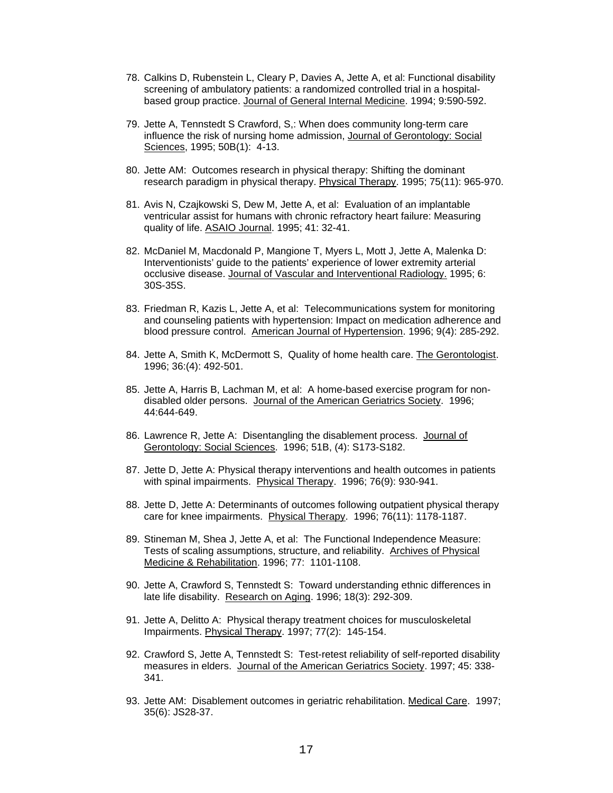- 78. Calkins D, Rubenstein L, Cleary P, Davies A, Jette A, et al: Functional disability screening of ambulatory patients: a randomized controlled trial in a hospitalbased group practice. Journal of General Internal Medicine. 1994; 9:590-592.
- 79. Jette A, Tennstedt S Crawford, S,: When does community long-term care influence the risk of nursing home admission, Journal of Gerontology: Social Sciences, 1995; 50B(1): 4-13.
- 80. Jette AM: Outcomes research in physical therapy: Shifting the dominant research paradigm in physical therapy. Physical Therapy. 1995; 75(11): 965-970.
- 81. Avis N, Czajkowski S, Dew M, Jette A, et al: Evaluation of an implantable ventricular assist for humans with chronic refractory heart failure: Measuring quality of life. ASAIO Journal. 1995; 41: 32-41.
- 82. McDaniel M, Macdonald P, Mangione T, Myers L, Mott J, Jette A, Malenka D: Interventionists' guide to the patients' experience of lower extremity arterial occlusive disease. Journal of Vascular and Interventional Radiology. 1995; 6: 30S-35S.
- 83. Friedman R, Kazis L, Jette A, et al: Telecommunications system for monitoring and counseling patients with hypertension: Impact on medication adherence and blood pressure control. American Journal of Hypertension. 1996; 9(4): 285-292.
- 84. Jette A, Smith K, McDermott S, Quality of home health care. The Gerontologist. 1996; 36:(4): 492-501.
- 85. Jette A, Harris B, Lachman M, et al: A home-based exercise program for nondisabled older persons. Journal of the American Geriatrics Society. 1996; 44:644-649.
- 86. Lawrence R, Jette A: Disentangling the disablement process. Journal of Gerontology: Social Sciences. 1996; 51B, (4): S173-S182.
- 87. Jette D, Jette A: Physical therapy interventions and health outcomes in patients with spinal impairments. Physical Therapy. 1996; 76(9): 930-941.
- 88. Jette D, Jette A: Determinants of outcomes following outpatient physical therapy care for knee impairments. Physical Therapy. 1996; 76(11): 1178-1187.
- 89. Stineman M, Shea J, Jette A, et al: The Functional Independence Measure: Tests of scaling assumptions, structure, and reliability. Archives of Physical Medicine & Rehabilitation. 1996; 77: 1101-1108.
- 90. Jette A, Crawford S, Tennstedt S: Toward understanding ethnic differences in late life disability. Research on Aging. 1996; 18(3): 292-309.
- 91. Jette A, Delitto A: Physical therapy treatment choices for musculoskeletal Impairments. Physical Therapy. 1997; 77(2): 145-154.
- 92. Crawford S, Jette A, Tennstedt S: Test-retest reliability of self-reported disability measures in elders. Journal of the American Geriatrics Society. 1997; 45: 338- 341.
- 93. Jette AM: Disablement outcomes in geriatric rehabilitation. Medical Care. 1997; 35(6): JS28-37.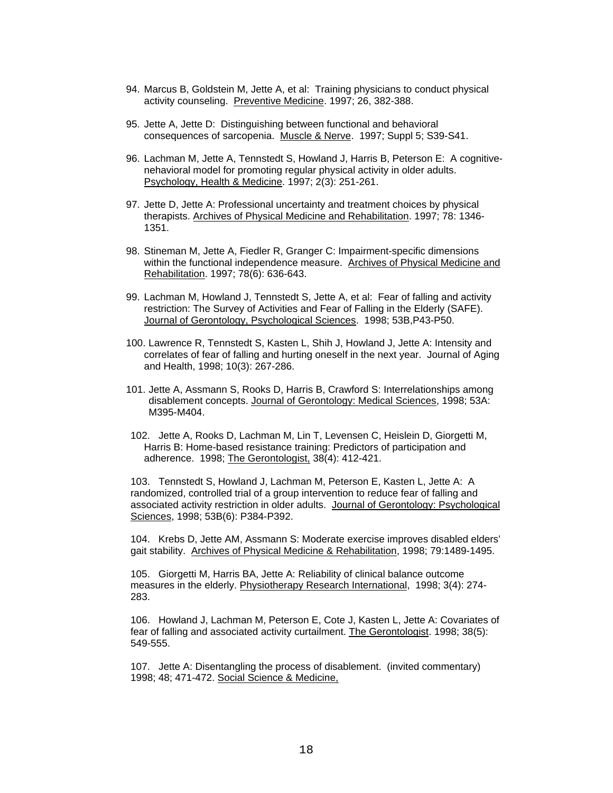- 94. Marcus B, Goldstein M, Jette A, et al: Training physicians to conduct physical activity counseling. Preventive Medicine. 1997; 26, 382-388.
- 95. Jette A, Jette D: Distinguishing between functional and behavioral consequences of sarcopenia. Muscle & Nerve. 1997; Suppl 5; S39-S41.
- 96. Lachman M, Jette A, Tennstedt S, Howland J, Harris B, Peterson E: A cognitivenehavioral model for promoting regular physical activity in older adults. Psychology, Health & Medicine. 1997; 2(3): 251-261.
- 97. Jette D, Jette A: Professional uncertainty and treatment choices by physical therapists. Archives of Physical Medicine and Rehabilitation. 1997; 78: 1346- 1351.
- 98. Stineman M, Jette A, Fiedler R, Granger C: Impairment-specific dimensions within the functional independence measure. Archives of Physical Medicine and Rehabilitation. 1997; 78(6): 636-643.
- 99. Lachman M, Howland J, Tennstedt S, Jette A, et al: Fear of falling and activity restriction: The Survey of Activities and Fear of Falling in the Elderly (SAFE). Journal of Gerontology, Psychological Sciences. 1998; 53B,P43-P50.
- 100. Lawrence R, Tennstedt S, Kasten L, Shih J, Howland J, Jette A: Intensity and correlates of fear of falling and hurting oneself in the next year. Journal of Aging and Health, 1998; 10(3): 267-286.
- 101. Jette A, Assmann S, Rooks D, Harris B, Crawford S: Interrelationships among disablement concepts. Journal of Gerontology: Medical Sciences, 1998; 53A: M395-M404.
- 102. Jette A, Rooks D, Lachman M, Lin T, Levensen C, Heislein D, Giorgetti M, Harris B: Home-based resistance training: Predictors of participation and adherence. 1998; The Gerontologist, 38(4): 412-421.

103. Tennstedt S, Howland J, Lachman M, Peterson E, Kasten L, Jette A: A randomized, controlled trial of a group intervention to reduce fear of falling and associated activity restriction in older adults. Journal of Gerontology: Psychological Sciences, 1998; 53B(6): P384-P392.

104. Krebs D, Jette AM, Assmann S: Moderate exercise improves disabled elders' gait stability. Archives of Physical Medicine & Rehabilitation, 1998; 79:1489-1495.

105. Giorgetti M, Harris BA, Jette A: Reliability of clinical balance outcome measures in the elderly. Physiotherapy Research International, 1998; 3(4): 274- 283.

106. Howland J, Lachman M, Peterson E, Cote J, Kasten L, Jette A: Covariates of fear of falling and associated activity curtailment. The Gerontologist. 1998; 38(5): 549-555.

107. Jette A: Disentangling the process of disablement. (invited commentary) 1998; 48; 471-472. Social Science & Medicine,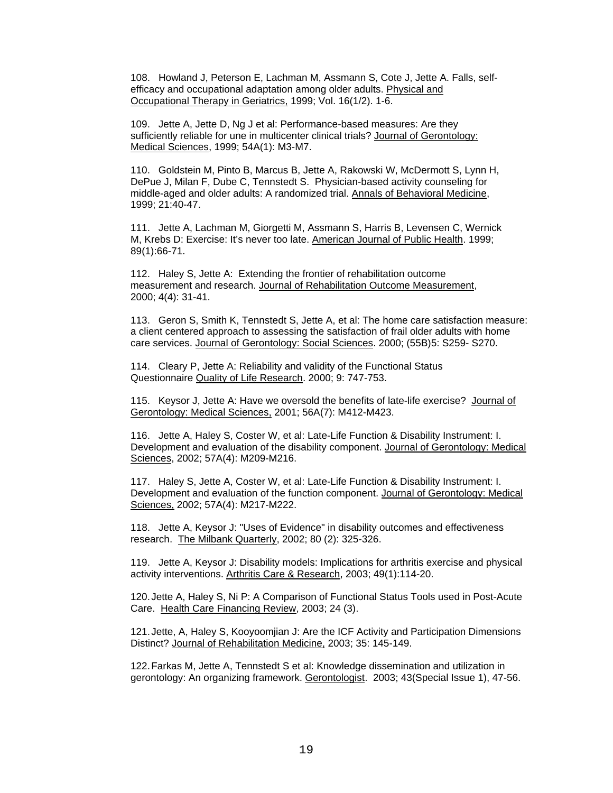108. Howland J, Peterson E, Lachman M, Assmann S, Cote J, Jette A. Falls, selfefficacy and occupational adaptation among older adults. Physical and Occupational Therapy in Geriatrics, 1999; Vol. 16(1/2). 1-6.

109. Jette A, Jette D, Ng J et al: Performance-based measures: Are they sufficiently reliable for une in multicenter clinical trials? Journal of Gerontology: Medical Sciences, 1999; 54A(1): M3-M7.

110. Goldstein M, Pinto B, Marcus B, Jette A, Rakowski W, McDermott S, Lynn H, DePue J, Milan F, Dube C, Tennstedt S. Physician-based activity counseling for middle-aged and older adults: A randomized trial. Annals of Behavioral Medicine, 1999; 21:40-47.

111. Jette A, Lachman M, Giorgetti M, Assmann S, Harris B, Levensen C, Wernick M, Krebs D: Exercise: It's never too late. American Journal of Public Health. 1999; 89(1):66-71.

112. Haley S, Jette A: Extending the frontier of rehabilitation outcome measurement and research. Journal of Rehabilitation Outcome Measurement, 2000; 4(4): 31-41.

113. Geron S, Smith K, Tennstedt S, Jette A, et al: The home care satisfaction measure: a client centered approach to assessing the satisfaction of frail older adults with home care services. Journal of Gerontology: Social Sciences. 2000; (55B)5: S259- S270.

114. Cleary P, Jette A: Reliability and validity of the Functional Status Questionnaire Quality of Life Research. 2000; 9: 747-753.

115. Keysor J, Jette A: Have we oversold the benefits of late-life exercise? Journal of Gerontology: Medical Sciences, 2001; 56A(7): M412-M423.

116. Jette A, Haley S, Coster W, et al: Late-Life Function & Disability Instrument: I. Development and evaluation of the disability component. Journal of Gerontology: Medical Sciences, 2002; 57A(4): M209-M216.

117. Haley S, Jette A, Coster W, et al: Late-Life Function & Disability Instrument: I. Development and evaluation of the function component. Journal of Gerontology: Medical Sciences, 2002; 57A(4): M217-M222.

118. Jette A, Keysor J: "Uses of Evidence" in disability outcomes and effectiveness research. The Milbank Quarterly, 2002; 80 (2): 325-326.

119. Jette A, Keysor J: Disability models: Implications for arthritis exercise and physical activity interventions. Arthritis Care & Research, 2003; 49(1):114-20.

120. Jette A, Haley S, Ni P: A Comparison of Functional Status Tools used in Post-Acute Care. Health Care Financing Review, 2003; 24 (3).

121. Jette, A, Haley S, Kooyoomjian J: Are the ICF Activity and Participation Dimensions Distinct? Journal of Rehabilitation Medicine, 2003; 35: 145-149.

122. Farkas M, Jette A, Tennstedt S et al: Knowledge dissemination and utilization in gerontology: An organizing framework. Gerontologist. 2003; 43(Special Issue 1), 47-56.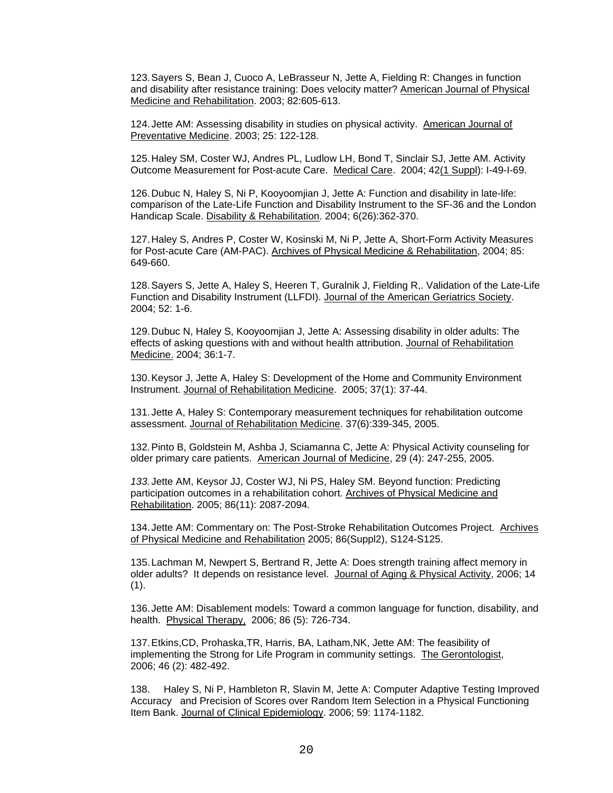123. Sayers S, Bean J, Cuoco A, LeBrasseur N, Jette A, Fielding R: Changes in function and disability after resistance training: Does velocity matter? American Journal of Physical Medicine and Rehabilitation. 2003; 82:605-613.

124. Jette AM: Assessing disability in studies on physical activity. American Journal of Preventative Medicine. 2003; 25: 122-128.

125. Haley SM, Coster WJ, Andres PL, Ludlow LH, Bond T, Sinclair SJ, Jette AM. Activity Outcome Measurement for Post-acute Care. Medical Care. 2004; 42(1 Suppl): I-49-I-69.

126. Dubuc N, Haley S, Ni P, Kooyoomjian J, Jette A: Function and disability in late-life: comparison of the Late-Life Function and Disability Instrument to the SF-36 and the London Handicap Scale. Disability & Rehabilitation. 2004; 6(26):362-370.

127. Haley S, Andres P, Coster W, Kosinski M, Ni P, Jette A, Short-Form Activity Measures for Post-acute Care (AM-PAC). Archives of Physical Medicine & Rehabilitation, 2004; 85: 649-660.

128. Sayers S, Jette A, Haley S, Heeren T, Guralnik J, Fielding R,. Validation of the Late-Life Function and Disability Instrument (LLFDI). Journal of the American Geriatrics Society. 2004; 52: 1-6.

129. Dubuc N, Haley S, Kooyoomjian J, Jette A: Assessing disability in older adults: The effects of asking questions with and without health attribution. Journal of Rehabilitation Medicine. 2004; 36:1-7.

130. Keysor J, Jette A, Haley S: Development of the Home and Community Environment Instrument. Journal of Rehabilitation Medicine. 2005; 37(1): 37-44.

131. Jette A, Haley S: Contemporary measurement techniques for rehabilitation outcome assessment. Journal of Rehabilitation Medicine. 37(6):339-345, 2005.

132. Pinto B, Goldstein M, Ashba J, Sciamanna C, Jette A: Physical Activity counseling for older primary care patients. American Journal of Medicine, 29 (4): 247-255, 2005.

*133.* Jette AM, Keysor JJ, Coster WJ, Ni PS, Haley SM. Beyond function: Predicting participation outcomes in a rehabilitation cohort. Archives of Physical Medicine and Rehabilitation. 2005; 86(11): 2087-2094*.* 

134. Jette AM: Commentary on: The Post-Stroke Rehabilitation Outcomes Project. Archives of Physical Medicine and Rehabilitation 2005; 86(Suppl2), S124-S125.

135. Lachman M, Newpert S, Bertrand R, Jette A: Does strength training affect memory in older adults? It depends on resistance level. Journal of Aging & Physical Activity, 2006; 14  $(1).$ 

136. Jette AM: Disablement models: Toward a common language for function, disability, and health. Physical Therapy, 2006; 86 (5): 726-734.

137. Etkins,CD, Prohaska,TR, Harris, BA, Latham,NK, Jette AM: The feasibility of implementing the Strong for Life Program in community settings. The Gerontologist, 2006; 46 (2): 482-492.

138. Haley S, Ni P, Hambleton R, Slavin M, Jette A: Computer Adaptive Testing Improved Accuracy and Precision of Scores over Random Item Selection in a Physical Functioning Item Bank. Journal of Clinical Epidemiology. 2006; 59: 1174-1182.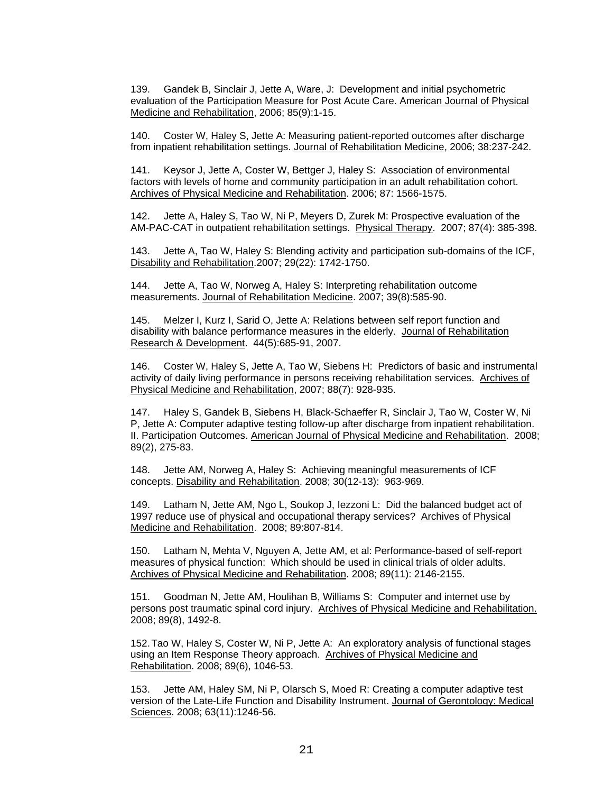139. Gandek B, Sinclair J, Jette A, Ware, J: Development and initial psychometric evaluation of the Participation Measure for Post Acute Care. American Journal of Physical Medicine and Rehabilitation, 2006; 85(9):1-15.

140. Coster W, Haley S, Jette A: Measuring patient-reported outcomes after discharge from inpatient rehabilitation settings. Journal of Rehabilitation Medicine, 2006; 38:237-242.

141. Keysor J, Jette A, Coster W, Bettger J, Haley S: Association of environmental factors with levels of home and community participation in an adult rehabilitation cohort. Archives of Physical Medicine and Rehabilitation. 2006; 87: 1566-1575.

142. Jette A, Haley S, Tao W, Ni P, Meyers D, Zurek M: Prospective evaluation of the AM-PAC-CAT in outpatient rehabilitation settings. Physical Therapy. 2007; 87(4): 385-398.

143. Jette A, Tao W, Haley S: Blending activity and participation sub-domains of the ICF, Disability and Rehabilitation.2007; 29(22): 1742-1750.

144. Jette A, Tao W, Norweg A, Haley S: Interpreting rehabilitation outcome measurements. Journal of Rehabilitation Medicine. 2007; 39(8):585-90.

145. Melzer I, Kurz I, Sarid O, Jette A: Relations between self report function and disability with balance performance measures in the elderly. Journal of Rehabilitation Research & Development. 44(5):685-91, 2007.

146. Coster W, Haley S, Jette A, Tao W, Siebens H: Predictors of basic and instrumental activity of daily living performance in persons receiving rehabilitation services. Archives of Physical Medicine and Rehabilitation, 2007; 88(7): 928-935.

147. Haley S, Gandek B, Siebens H, Black-Schaeffer R, Sinclair J, Tao W, Coster W, Ni P, Jette A: Computer adaptive testing follow-up after discharge from inpatient rehabilitation. II. Participation Outcomes. American Journal of Physical Medicine and Rehabilitation. 2008; 89(2), 275-83.

148. Jette AM, Norweg A, Haley S: Achieving meaningful measurements of ICF concepts. Disability and Rehabilitation. 2008; 30(12-13): 963-969.

149. Latham N, Jette AM, Ngo L, Soukop J, Iezzoni L: Did the balanced budget act of 1997 reduce use of physical and occupational therapy services? Archives of Physical Medicine and Rehabilitation. 2008; 89:807-814.

150. Latham N, Mehta V, Nguyen A, Jette AM, et al: Performance-based of self-report measures of physical function: Which should be used in clinical trials of older adults. Archives of Physical Medicine and Rehabilitation. 2008; 89(11): 2146-2155.

151. Goodman N, Jette AM, Houlihan B, Williams S: Computer and internet use by persons post traumatic spinal cord injury. Archives of Physical Medicine and Rehabilitation. 2008; 89(8), 1492-8.

152. Tao W, Haley S, Coster W, Ni P, Jette A: An exploratory analysis of functional stages using an Item Response Theory approach. Archives of Physical Medicine and Rehabilitation. 2008; 89(6), 1046-53.

153. Jette AM, Haley SM, Ni P, Olarsch S, Moed R: Creating a computer adaptive test version of the Late-Life Function and Disability Instrument. Journal of Gerontology: Medical Sciences. 2008; 63(11):1246-56.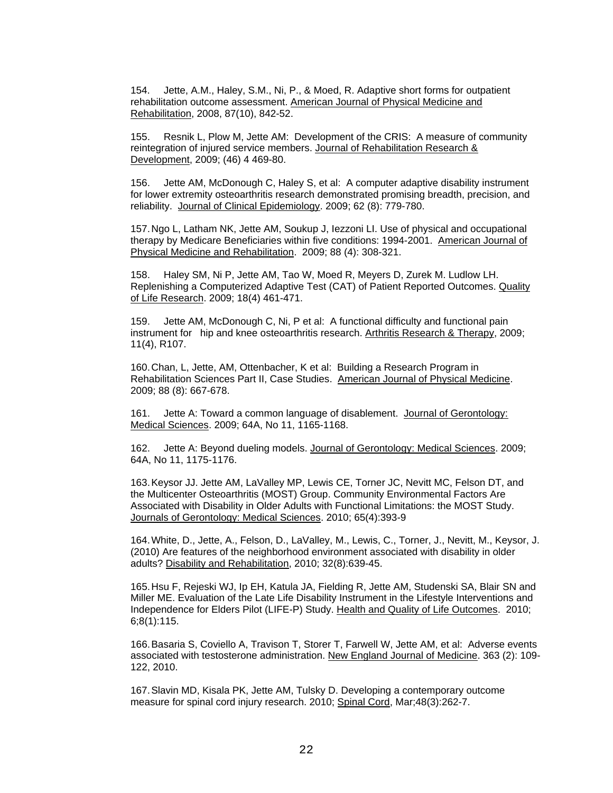154. Jette, A.M., Haley, S.M., Ni, P., & Moed, R. Adaptive short forms for outpatient rehabilitation outcome assessment. American Journal of Physical Medicine and Rehabilitation, 2008, 87(10), 842-52.

155. Resnik L, Plow M, Jette AM: Development of the CRIS: A measure of community reintegration of injured service members. Journal of Rehabilitation Research & Development, 2009; (46) 4 469-80.

156. Jette AM, McDonough C, Haley S, et al: A computer adaptive disability instrument for lower extremity osteoarthritis research demonstrated promising breadth, precision, and reliability. Journal of Clinical Epidemiology. 2009; 62 (8): 779-780.

157. Ngo L, Latham NK, Jette AM, Soukup J, Iezzoni LI. Use of physical and occupational therapy by Medicare Beneficiaries within five conditions: 1994-2001. American Journal of Physical Medicine and Rehabilitation. 2009; 88 (4): 308-321.

158. Haley SM, Ni P, Jette AM, Tao W, Moed R, Meyers D, Zurek M. Ludlow LH. Replenishing a Computerized Adaptive Test (CAT) of Patient Reported Outcomes. Quality of Life Research. 2009; 18(4) 461-471.

159. Jette AM, McDonough C, Ni, P et al: A functional difficulty and functional pain instrument for hip and knee osteoarthritis research. Arthritis Research & Therapy, 2009; 11(4), R107.

160. Chan, L, Jette, AM, Ottenbacher, K et al: Building a Research Program in Rehabilitation Sciences Part II, Case Studies. American Journal of Physical Medicine. 2009; 88 (8): 667-678.

161. Jette A: Toward a common language of disablement. Journal of Gerontology: Medical Sciences. 2009; 64A, No 11, 1165-1168.

162. Jette A: Beyond dueling models. Journal of Gerontology: Medical Sciences. 2009; 64A, No 11, 1175-1176.

163. Keysor JJ. Jette AM, LaValley MP, Lewis CE, Torner JC, Nevitt MC, Felson DT, and the Multicenter Osteoarthritis (MOST) Group. Community Environmental Factors Are Associated with Disability in Older Adults with Functional Limitations: the MOST Study. Journals of Gerontology: Medical Sciences. 2010; 65(4):393-9

164. White, D., Jette, A., Felson, D., LaValley, M., Lewis, C., Torner, J., Nevitt, M., Keysor, J. (2010) Are features of the neighborhood environment associated with disability in older adults? Disability and Rehabilitation, 2010; 32(8):639-45.

165. Hsu F, Rejeski WJ, Ip EH, Katula JA, Fielding R, Jette AM, Studenski SA, Blair SN and Miller ME. Evaluation of the Late Life Disability Instrument in the Lifestyle Interventions and Independence for Elders Pilot (LIFE-P) Study. Health and Quality of Life Outcomes. 2010; 6;8(1):115.

166. Basaria S, Coviello A, Travison T, Storer T, Farwell W, Jette AM, et al: Adverse events associated with testosterone administration. New England Journal of Medicine. 363 (2): 109- 122, 2010.

167. Slavin MD, Kisala PK, Jette AM, Tulsky D. Developing a contemporary outcome measure for spinal cord injury research. 2010; Spinal Cord, Mar;48(3):262-7.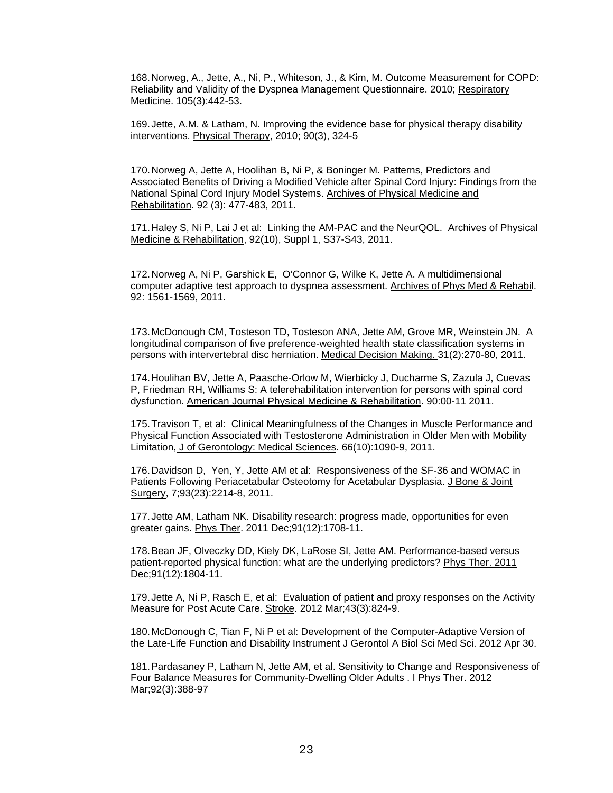168. Norweg, A., Jette, A., Ni, P., Whiteson, J., & Kim, M. Outcome Measurement for COPD: Reliability and Validity of the Dyspnea Management Questionnaire. 2010; Respiratory Medicine. 105(3):442-53.

169. Jette, A.M. & Latham, N. Improving the evidence base for physical therapy disability interventions. Physical Therapy, 2010; 90(3), 324-5

170. Norweg A, Jette A, Hoolihan B, Ni P, & Boninger M. Patterns, Predictors and Associated Benefits of Driving a Modified Vehicle after Spinal Cord Injury: Findings from the National Spinal Cord Injury Model Systems. Archives of Physical Medicine and Rehabilitation. 92 (3): 477-483, 2011.

171. Haley S, Ni P, Lai J et al: Linking the AM-PAC and the NeurQOL. Archives of Physical Medicine & Rehabilitation, 92(10), Suppl 1, S37-S43, 2011.

172. Norweg A, Ni P, Garshick E, O'Connor G, Wilke K, Jette A. A multidimensional computer adaptive test approach to dyspnea assessment. Archives of Phys Med & Rehabil. 92: 1561-1569, 2011.

173. McDonough CM, Tosteson TD, Tosteson ANA, Jette AM, Grove MR, Weinstein JN. A longitudinal comparison of five preference-weighted health state classification systems in persons with intervertebral disc herniation. Medical Decision Making. 31(2):270-80, 2011.

174. Houlihan BV, Jette A, Paasche-Orlow M, Wierbicky J, Ducharme S, Zazula J, Cuevas P, Friedman RH, Williams S: A telerehabilitation intervention for persons with spinal cord dysfunction. American Journal Physical Medicine & Rehabilitation. 90:00-11 2011.

175. Travison T, et al: Clinical Meaningfulness of the Changes in Muscle Performance and Physical Function Associated with Testosterone Administration in Older Men with Mobility Limitation, J of Gerontology: Medical Sciences. 66(10):1090-9, 2011.

176. Davidson D, Yen, Y, Jette AM et al: Responsiveness of the SF-36 and WOMAC in Patients Following Periacetabular Osteotomy for Acetabular Dysplasia. J Bone & Joint Surgery, 7;93(23):2214-8, 2011.

177. Jette AM, Latham NK. Disability research: progress made, opportunities for even greater gains. Phys Ther. 2011 Dec;91(12):1708-11.

178. Bean JF, Olveczky DD, Kiely DK, LaRose SI, Jette AM. Performance-based versus patient-reported physical function: what are the underlying predictors? Phys Ther. 2011 Dec;91(12):1804-11.

179. Jette A, Ni P, Rasch E, et al: Evaluation of patient and proxy responses on the Activity Measure for Post Acute Care. Stroke. 2012 Mar;43(3):824-9.

180. McDonough C, Tian F, Ni P et al: Development of the Computer-Adaptive Version of the Late-Life Function and Disability Instrument J Gerontol A Biol Sci Med Sci. 2012 Apr 30.

181. Pardasaney P, Latham N, Jette AM, et al. Sensitivity to Change and Responsiveness of Four Balance Measures for Community-Dwelling Older Adults . I Phys Ther. 2012 Mar;92(3):388-97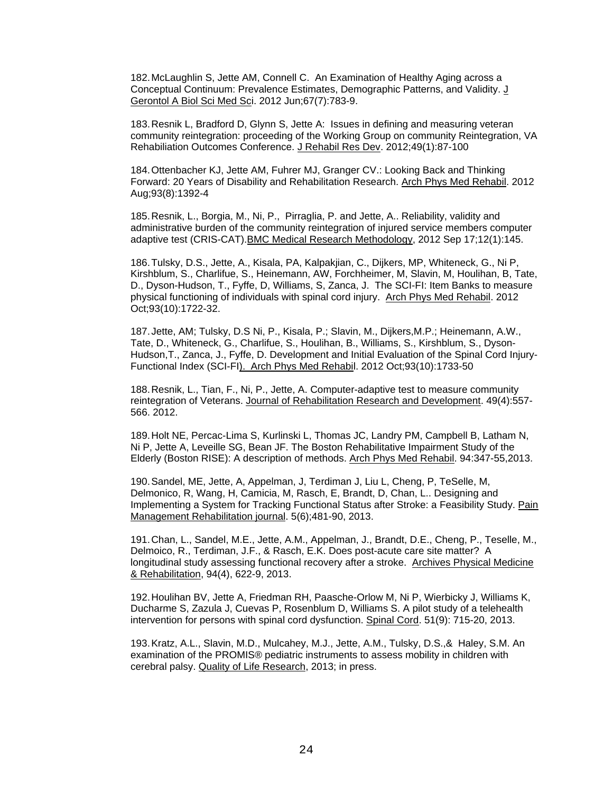182. McLaughlin S, Jette AM, Connell C. An Examination of Healthy Aging across a Conceptual Continuum: Prevalence Estimates, Demographic Patterns, and Validity. J Gerontol A Biol Sci Med Sci. 2012 Jun;67(7):783-9.

183. Resnik L, Bradford D, Glynn S, Jette A: Issues in defining and measuring veteran community reintegration: proceeding of the Working Group on community Reintegration, VA Rehabiliation Outcomes Conference. J Rehabil Res Dev. 2012;49(1):87-100

184. Ottenbacher KJ, Jette AM, Fuhrer MJ, Granger CV.: Looking Back and Thinking Forward: 20 Years of Disability and Rehabilitation Research. Arch Phys Med Rehabil. 2012 Aug;93(8):1392-4

185. Resnik, L., Borgia, M., Ni, P., Pirraglia, P. and Jette, A.. Reliability, validity and administrative burden of the community reintegration of injured service members computer adaptive test (CRIS-CAT).BMC Medical Research Methodology, 2012 Sep 17;12(1):145.

186. Tulsky, D.S., Jette, A., Kisala, PA, Kalpakjian, C., Dijkers, MP, Whiteneck, G., Ni P, Kirshblum, S., Charlifue, S., Heinemann, AW, Forchheimer, M, Slavin, M, Houlihan, B, Tate, D., Dyson-Hudson, T., Fyffe, D, Williams, S, Zanca, J. The SCI-FI: Item Banks to measure physical functioning of individuals with spinal cord injury. Arch Phys Med Rehabil. 2012 Oct;93(10):1722-32.

187. Jette, AM; Tulsky, D.S Ni, P., Kisala, P.; Slavin, M., Dijkers,M.P.; Heinemann, A.W., Tate, D., Whiteneck, G., Charlifue, S., Houlihan, B., Williams, S., Kirshblum, S., Dyson-Hudson,T., Zanca, J., Fyffe, D. Development and Initial Evaluation of the Spinal Cord Injury-Functional Index (SCI-FI). Arch Phys Med Rehabil. 2012 Oct;93(10):1733-50

188. Resnik, L., Tian, F., Ni, P., Jette, A. Computer-adaptive test to measure community reintegration of Veterans. Journal of Rehabilitation Research and Development. 49(4):557- 566. 2012.

189. Holt NE, Percac-Lima S, Kurlinski L, Thomas JC, Landry PM, Campbell B, Latham N, Ni P, Jette A, Leveille SG, Bean JF. The Boston Rehabilitative Impairment Study of the Elderly (Boston RISE): A description of methods. Arch Phys Med Rehabil. 94:347-55,2013.

190. Sandel, ME, Jette, A, Appelman, J, Terdiman J, Liu L, Cheng, P, TeSelle, M, Delmonico, R, Wang, H, Camicia, M, Rasch, E, Brandt, D, Chan, L.. Designing and Implementing a System for Tracking Functional Status after Stroke: a Feasibility Study. Pain Management Rehabilitation journal. 5(6);481-90, 2013.

191. Chan, L., Sandel, M.E., Jette, A.M., Appelman, J., Brandt, D.E., Cheng, P., Teselle, M., Delmoico, R., Terdiman, J.F., & Rasch, E.K. Does post-acute care site matter? A longitudinal study assessing functional recovery after a stroke. Archives Physical Medicine & Rehabilitation, 94(4), 622-9, 2013.

192. Houlihan BV, Jette A, Friedman RH, Paasche-Orlow M, Ni P, Wierbicky J, Williams K, Ducharme S, Zazula J, Cuevas P, Rosenblum D, Williams S. A pilot study of a telehealth intervention for persons with spinal cord dysfunction. Spinal Cord. 51(9): 715-20, 2013.

193. Kratz, A.L., Slavin, M.D., Mulcahey, M.J., Jette, A.M., Tulsky, D.S.,& Haley, S.M. An examination of the PROMIS® pediatric instruments to assess mobility in children with cerebral palsy. Quality of Life Research, 2013; in press.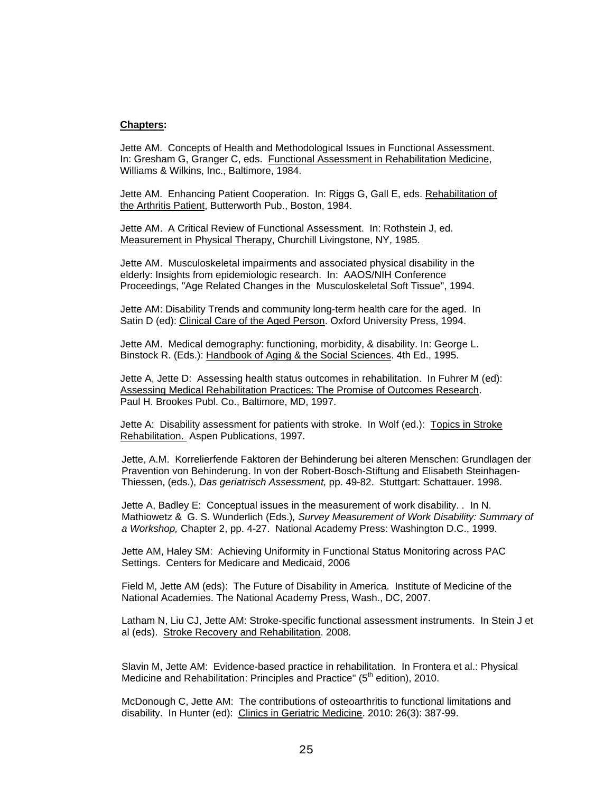#### **Chapters:**

Jette AM. Concepts of Health and Methodological Issues in Functional Assessment. In: Gresham G, Granger C, eds. Functional Assessment in Rehabilitation Medicine, Williams & Wilkins, Inc., Baltimore, 1984.

Jette AM. Enhancing Patient Cooperation. In: Riggs G, Gall E, eds. Rehabilitation of the Arthritis Patient, Butterworth Pub., Boston, 1984.

Jette AM. A Critical Review of Functional Assessment. In: Rothstein J, ed. Measurement in Physical Therapy, Churchill Livingstone, NY, 1985.

Jette AM. Musculoskeletal impairments and associated physical disability in the elderly: Insights from epidemiologic research. In: AAOS/NIH Conference Proceedings, "Age Related Changes in the Musculoskeletal Soft Tissue", 1994.

Jette AM: Disability Trends and community long-term health care for the aged. In Satin D (ed): Clinical Care of the Aged Person. Oxford University Press, 1994.

Jette AM. Medical demography: functioning, morbidity, & disability. In: George L. Binstock R. (Eds.): Handbook of Aging & the Social Sciences. 4th Ed., 1995.

Jette A, Jette D: Assessing health status outcomes in rehabilitation. In Fuhrer M (ed): Assessing Medical Rehabilitation Practices: The Promise of Outcomes Research. Paul H. Brookes Publ. Co., Baltimore, MD, 1997.

Jette A: Disability assessment for patients with stroke. In Wolf (ed.): Topics in Stroke Rehabilitation. Aspen Publications, 1997.

Jette, A.M. Korrelierfende Faktoren der Behinderung bei alteren Menschen: Grundlagen der Pravention von Behinderung. In von der Robert-Bosch-Stiftung and Elisabeth Steinhagen-Thiessen, (eds.), *Das geriatrisch Assessment,* pp. 49-82. Stuttgart: Schattauer. 1998.

Jette A, Badley E: Conceptual issues in the measurement of work disability. *.* In N. Mathiowetz & G. S. Wunderlich (Eds.)*, Survey Measurement of Work Disability: Summary of a Workshop,* Chapter 2, pp. 4-27. National Academy Press: Washington D.C., 1999.

Jette AM, Haley SM: Achieving Uniformity in Functional Status Monitoring across PAC Settings. Centers for Medicare and Medicaid, 2006

Field M, Jette AM (eds): The Future of Disability in America. Institute of Medicine of the National Academies. The National Academy Press, Wash., DC, 2007.

Latham N, Liu CJ, Jette AM: Stroke-specific functional assessment instruments. In Stein J et al (eds). Stroke Recovery and Rehabilitation. 2008.

Slavin M, Jette AM: Evidence-based practice in rehabilitation. In Frontera et al.: Physical Medicine and Rehabilitation: Principles and Practice" ( $5<sup>th</sup>$  edition), 2010.

McDonough C, Jette AM: The contributions of osteoarthritis to functional limitations and disability. In Hunter (ed): Clinics in Geriatric Medicine. 2010: 26(3): 387-99.